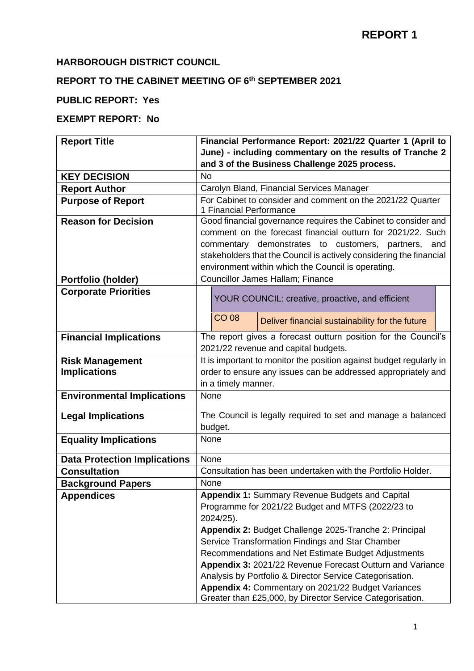# **HARBOROUGH DISTRICT COUNCIL**

### **REPORT TO THE CABINET MEETING OF 6 th SEPTEMBER 2021**

# **PUBLIC REPORT: Yes**

# **EXEMPT REPORT: No**

| <b>Report Title</b>                 | Financial Performance Report: 2021/22 Quarter 1 (April to           |
|-------------------------------------|---------------------------------------------------------------------|
|                                     | June) - including commentary on the results of Tranche 2            |
|                                     | and 3 of the Business Challenge 2025 process.                       |
| <b>KEY DECISION</b>                 | <b>No</b>                                                           |
| <b>Report Author</b>                | Carolyn Bland, Financial Services Manager                           |
| <b>Purpose of Report</b>            | For Cabinet to consider and comment on the 2021/22 Quarter          |
|                                     | 1 Financial Performance                                             |
| <b>Reason for Decision</b>          | Good financial governance requires the Cabinet to consider and      |
|                                     | comment on the forecast financial outturn for 2021/22. Such         |
|                                     | commentary demonstrates to customers, partners, and                 |
|                                     | stakeholders that the Council is actively considering the financial |
|                                     | environment within which the Council is operating.                  |
| <b>Portfolio (holder)</b>           | Councillor James Hallam; Finance                                    |
| <b>Corporate Priorities</b>         | YOUR COUNCIL: creative, proactive, and efficient                    |
|                                     | <b>CO 08</b><br>Deliver financial sustainability for the future     |
| <b>Financial Implications</b>       | The report gives a forecast outturn position for the Council's      |
|                                     | 2021/22 revenue and capital budgets.                                |
| <b>Risk Management</b>              | It is important to monitor the position against budget regularly in |
| <b>Implications</b>                 | order to ensure any issues can be addressed appropriately and       |
|                                     | in a timely manner.                                                 |
| <b>Environmental Implications</b>   | None                                                                |
| <b>Legal Implications</b>           | The Council is legally required to set and manage a balanced        |
|                                     | budget.                                                             |
| <b>Equality Implications</b>        | None                                                                |
|                                     |                                                                     |
| <b>Data Protection Implications</b> | None                                                                |
| <b>Consultation</b>                 | Consultation has been undertaken with the Portfolio Holder.         |
| <b>Background Papers</b>            | None                                                                |
| <b>Appendices</b>                   | Appendix 1: Summary Revenue Budgets and Capital                     |
|                                     | Programme for 2021/22 Budget and MTFS (2022/23 to                   |
|                                     | 2024/25).                                                           |
|                                     | Appendix 2: Budget Challenge 2025-Tranche 2: Principal              |
|                                     | Service Transformation Findings and Star Chamber                    |
|                                     | Recommendations and Net Estimate Budget Adjustments                 |
|                                     | Appendix 3: 2021/22 Revenue Forecast Outturn and Variance           |
|                                     | Analysis by Portfolio & Director Service Categorisation.            |
|                                     | Appendix 4: Commentary on 2021/22 Budget Variances                  |
|                                     | Greater than £25,000, by Director Service Categorisation.           |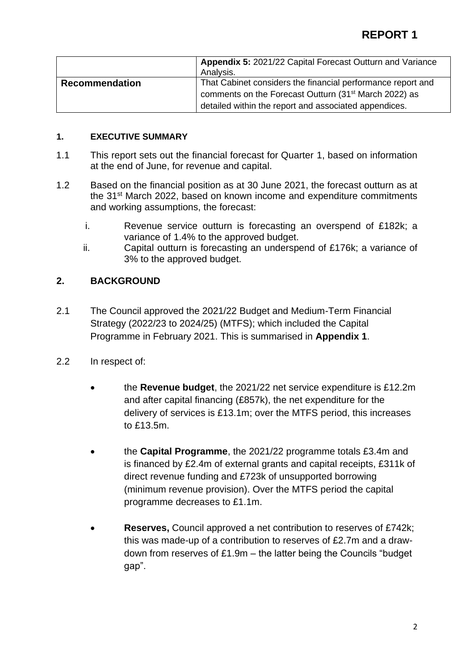|                       | Appendix 5: 2021/22 Capital Forecast Outturn and Variance<br>Analysis. |
|-----------------------|------------------------------------------------------------------------|
| <b>Recommendation</b> | That Cabinet considers the financial performance report and            |
|                       | comments on the Forecast Outturn (31 <sup>st</sup> March 2022) as      |
|                       | detailed within the report and associated appendices.                  |

### **1. EXECUTIVE SUMMARY**

- 1.1 This report sets out the financial forecast for Quarter 1, based on information at the end of June, for revenue and capital.
- 1.2 Based on the financial position as at 30 June 2021, the forecast outturn as at the 31<sup>st</sup> March 2022, based on known income and expenditure commitments and working assumptions, the forecast:
	- i. Revenue service outturn is forecasting an overspend of £182k; a variance of 1.4% to the approved budget.
	- ii. Capital outturn is forecasting an underspend of £176k; a variance of 3% to the approved budget.

# **2. BACKGROUND**

- 2.1 The Council approved the 2021/22 Budget and Medium-Term Financial Strategy (2022/23 to 2024/25) (MTFS); which included the Capital Programme in February 2021. This is summarised in **Appendix 1**.
- 2.2 In respect of:
	- the **Revenue budget**, the 2021/22 net service expenditure is £12.2m and after capital financing (£857k), the net expenditure for the delivery of services is £13.1m; over the MTFS period, this increases to £13.5m.
	- the **Capital Programme**, the 2021/22 programme totals £3.4m and is financed by £2.4m of external grants and capital receipts, £311k of direct revenue funding and £723k of unsupported borrowing (minimum revenue provision). Over the MTFS period the capital programme decreases to £1.1m.
	- **Reserves,** Council approved a net contribution to reserves of £742k; this was made-up of a contribution to reserves of £2.7m and a drawdown from reserves of £1.9m – the latter being the Councils "budget gap".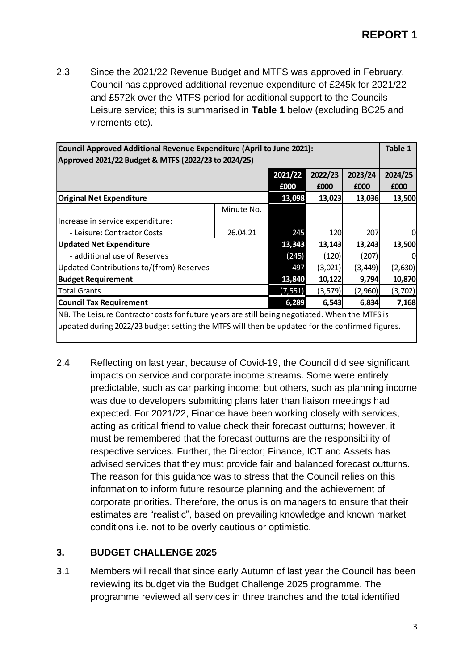2.3 Since the 2021/22 Revenue Budget and MTFS was approved in February, Council has approved additional revenue expenditure of £245k for 2021/22 and £572k over the MTFS period for additional support to the Councils Leisure service; this is summarised in **Table 1** below (excluding BC25 and virements etc).

|                                                                                                |            | Council Approved Additional Revenue Expenditure (April to June 2021): |         |         |          |  |  |  |
|------------------------------------------------------------------------------------------------|------------|-----------------------------------------------------------------------|---------|---------|----------|--|--|--|
| Approved 2021/22 Budget & MTFS (2022/23 to 2024/25)                                            |            |                                                                       |         |         |          |  |  |  |
|                                                                                                |            | 2021/22                                                               | 2022/23 | 2023/24 | 2024/25  |  |  |  |
|                                                                                                |            | £000                                                                  | £000    | £000    | £000     |  |  |  |
| <b>Original Net Expenditure</b>                                                                |            | 13,098                                                                | 13,023  | 13,036  | 13,500   |  |  |  |
|                                                                                                | Minute No. |                                                                       |         |         |          |  |  |  |
| Increase in service expenditure:                                                               |            |                                                                       |         |         |          |  |  |  |
| - Leisure: Contractor Costs                                                                    | 26.04.21   | 245                                                                   | 120     | 207     | 0        |  |  |  |
| <b>Updated Net Expenditure</b>                                                                 |            | 13,343                                                                | 13,143  | 13,243  | 13,500   |  |  |  |
| - additional use of Reserves                                                                   |            | (245)                                                                 | (120)   | (207)   | 0        |  |  |  |
| Updated Contributions to/(from) Reserves                                                       |            | 497                                                                   | (3,021) | (3,449) | (2,630)  |  |  |  |
| <b>Budget Requirement</b>                                                                      |            | 13,840                                                                | 10,122  | 9,794   | 10,870   |  |  |  |
| Total Grants                                                                                   |            | (7, 551)                                                              | (3,579) | (2,960) | (3, 702) |  |  |  |
| <b>Council Tax Requirement</b>                                                                 |            | 6,289                                                                 | 6,543   | 6,834   | 7,168    |  |  |  |
| NB. The Leisure Contractor costs for future years are still being negotiated. When the MTFS is |            |                                                                       |         |         |          |  |  |  |
| updated during 2022/23 budget setting the MTFS will then be updated for the confirmed figures. |            |                                                                       |         |         |          |  |  |  |
|                                                                                                |            |                                                                       |         |         |          |  |  |  |

2.4 Reflecting on last year, because of Covid-19, the Council did see significant impacts on service and corporate income streams. Some were entirely predictable, such as car parking income; but others, such as planning income was due to developers submitting plans later than liaison meetings had expected. For 2021/22, Finance have been working closely with services, acting as critical friend to value check their forecast outturns; however, it must be remembered that the forecast outturns are the responsibility of respective services. Further, the Director; Finance, ICT and Assets has advised services that they must provide fair and balanced forecast outturns. The reason for this guidance was to stress that the Council relies on this information to inform future resource planning and the achievement of corporate priorities. Therefore, the onus is on managers to ensure that their estimates are "realistic", based on prevailing knowledge and known market conditions i.e. not to be overly cautious or optimistic.

## **3. BUDGET CHALLENGE 2025**

3.1 Members will recall that since early Autumn of last year the Council has been reviewing its budget via the Budget Challenge 2025 programme. The programme reviewed all services in three tranches and the total identified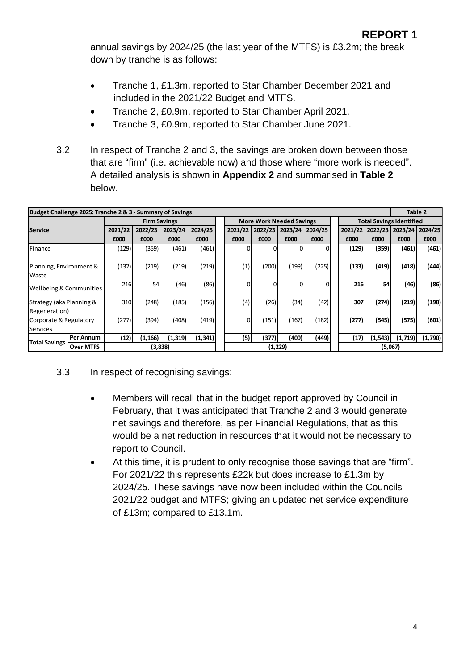annual savings by 2024/25 (the last year of the MTFS) is £3.2m; the break down by tranche is as follows:

- Tranche 1, £1.3m, reported to Star Chamber December 2021 and included in the 2021/22 Budget and MTFS.
- Tranche 2, £0.9m, reported to Star Chamber April 2021.
- Tranche 3, £0.9m, reported to Star Chamber June 2021.
- 3.2 In respect of Tranche 2 and 3, the savings are broken down between those that are "firm" (i.e. achievable now) and those where "more work is needed". A detailed analysis is shown in **Appendix 2** and summarised in **Table 2** below.

| Budget Challenge 2025: Tranche 2 & 3 - Summary of Savings |                  |         |          |                     |          |          |         |                                 |         |         |          | Table 2                         |         |
|-----------------------------------------------------------|------------------|---------|----------|---------------------|----------|----------|---------|---------------------------------|---------|---------|----------|---------------------------------|---------|
|                                                           |                  |         |          | <b>Firm Savings</b> |          |          |         | <b>More Work Needed Savings</b> |         |         |          | <b>Total Savings Identified</b> |         |
| <b>Service</b>                                            |                  | 2021/22 | 2022/23  | 2023/24             | 2024/25  | 2021/22  | 2022/23 | 2023/24                         | 2024/25 | 2021/22 | 2022/23  | 2023/24                         | 2024/25 |
|                                                           |                  | £000    | £000     | £000                | £000     | £000     | £000    | £000                            | £000    | £000    | £000     | £000                            | £000    |
| Finance                                                   |                  | (129)   | (359)    | (461)               | (461)    |          |         |                                 |         | (129)   | (359)    | (461)                           | (461)   |
| Planning, Environment &<br>Waste                          |                  | (132)   | (219)    | (219)               | (219)    | (1)      | (200)   | (199)                           | (225)   | (133)   | (419)    | (418)                           | (444)   |
| Wellbeing & Communities                                   |                  | 216     | 54       | (46)                | (86)     | $\Omega$ | 0       |                                 | Ol      | 216     | 54       | (46)                            | (86)    |
| Strategy (aka Planning &<br>Regeneration)                 |                  | 310     | (248)    | (185)               | (156)    | (4)      | (26)    | (34)                            | (42)    | 307     | (274)    | (219)                           | (198)   |
| Corporate & Regulatory<br>Services                        |                  | (277)   | (394)    | (408)               | (419)    | $\Omega$ | (151)   | (167)                           | (182)   | (277)   | (545)    | (575)                           | (601)   |
|                                                           | Per Annum        | (12)    | (1, 166) | (1, 319)            | (1, 341) | (5)      | (377)   | (400)                           | (449)   | (17)    | (1, 543) | (1,719)                         | (1,790) |
| <b>Total Savings</b>                                      | <b>Over MTFS</b> |         |          | (3,838)             |          |          |         | (1, 229)                        |         |         |          | (5,067)                         |         |

- 3.3 In respect of recognising savings:
	- Members will recall that in the budget report approved by Council in February, that it was anticipated that Tranche 2 and 3 would generate net savings and therefore, as per Financial Regulations, that as this would be a net reduction in resources that it would not be necessary to report to Council.
	- At this time, it is prudent to only recognise those savings that are "firm". For 2021/22 this represents £22k but does increase to £1.3m by 2024/25. These savings have now been included within the Councils 2021/22 budget and MTFS; giving an updated net service expenditure of £13m; compared to £13.1m.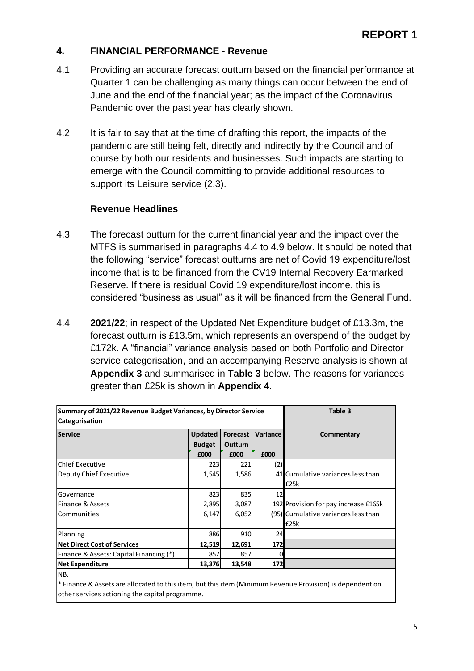### **4. FINANCIAL PERFORMANCE - Revenue**

- 4.1 Providing an accurate forecast outturn based on the financial performance at Quarter 1 can be challenging as many things can occur between the end of June and the end of the financial year; as the impact of the Coronavirus Pandemic over the past year has clearly shown.
- 4.2 It is fair to say that at the time of drafting this report, the impacts of the pandemic are still being felt, directly and indirectly by the Council and of course by both our residents and businesses. Such impacts are starting to emerge with the Council committing to provide additional resources to support its Leisure service (2.3).

### **Revenue Headlines**

- 4.3 The forecast outturn for the current financial year and the impact over the MTFS is summarised in paragraphs 4.4 to 4.9 below. It should be noted that the following "service" forecast outturns are net of Covid 19 expenditure/lost income that is to be financed from the CV19 Internal Recovery Earmarked Reserve. If there is residual Covid 19 expenditure/lost income, this is considered "business as usual" as it will be financed from the General Fund.
- 4.4 **2021/22**; in respect of the Updated Net Expenditure budget of £13.3m, the forecast outturn is £13.5m, which represents an overspend of the budget by £172k. A "financial" variance analysis based on both Portfolio and Director service categorisation, and an accompanying Reserve analysis is shown at **Appendix 3** and summarised in **Table 3** below. The reasons for variances greater than £25k is shown in **Appendix 4**.

| Summary of 2021/22 Revenue Budget Variances, by Director Service |                                         |                                           |                  | Table 3                                     |
|------------------------------------------------------------------|-----------------------------------------|-------------------------------------------|------------------|---------------------------------------------|
| Categorisation                                                   |                                         |                                           |                  |                                             |
| <b>Service</b>                                                   | <b>Updated</b><br><b>Budget</b><br>£000 | <b>Forecast</b><br><b>Outturn</b><br>£000 | Variance<br>£000 | Commentary                                  |
| lChief Executive                                                 | 223                                     | 221                                       | (2)              |                                             |
| Deputy Chief Executive                                           | 1,545                                   | 1,586                                     |                  | 41 Cumulative variances less than<br>£25k   |
| Governance                                                       | 823                                     | 835                                       | 12               |                                             |
| Finance & Assets                                                 | 2,895                                   | 3,087                                     |                  | 192 Provision for pay increase £165k        |
| <b>Communities</b>                                               | 6,147                                   | 6,052                                     |                  | (95) Cumulative variances less than<br>£25k |
| Planning                                                         | 886                                     | 910                                       | 24               |                                             |
| <b>Net Direct Cost of Services</b>                               | 12,519                                  | 12,691                                    | 172              |                                             |
| Finance & Assets: Capital Financing (*)                          | 857                                     | 857                                       |                  |                                             |
| <b>Net Expenditure</b>                                           | 13,376                                  | 13,548                                    | 172              |                                             |
| NB.                                                              |                                         |                                           |                  |                                             |

<sup>\*</sup> Finance & Assets are allocated to this item, but this item (Minimum Revenue Provision) is dependent on other services actioning the capital programme.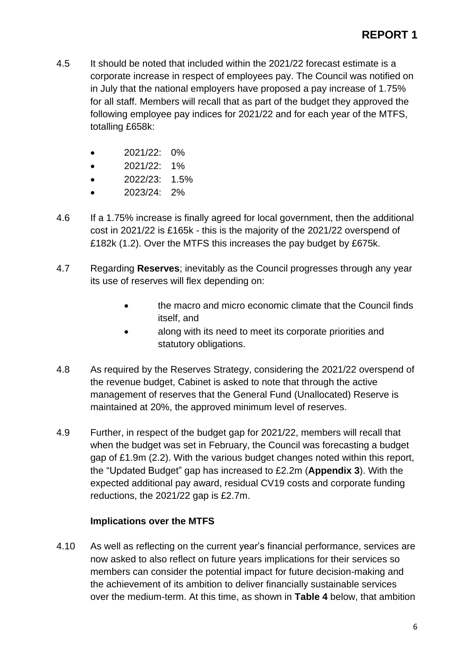- 4.5 It should be noted that included within the 2021/22 forecast estimate is a corporate increase in respect of employees pay. The Council was notified on in July that the national employers have proposed a pay increase of 1.75% for all staff. Members will recall that as part of the budget they approved the following employee pay indices for 2021/22 and for each year of the MTFS, totalling £658k:
	- 2021/22: 0%
	- 2021/22: 1%
	- 2022/23: 1.5%
	- 2023/24: 2%
- 4.6 If a 1.75% increase is finally agreed for local government, then the additional cost in 2021/22 is £165k - this is the majority of the 2021/22 overspend of £182k (1.2). Over the MTFS this increases the pay budget by £675k.
- 4.7 Regarding **Reserves**; inevitably as the Council progresses through any year its use of reserves will flex depending on:
	- the macro and micro economic climate that the Council finds itself, and
	- along with its need to meet its corporate priorities and statutory obligations.
- 4.8 As required by the Reserves Strategy, considering the 2021/22 overspend of the revenue budget, Cabinet is asked to note that through the active management of reserves that the General Fund (Unallocated) Reserve is maintained at 20%, the approved minimum level of reserves.
- 4.9 Further, in respect of the budget gap for 2021/22, members will recall that when the budget was set in February, the Council was forecasting a budget gap of £1.9m (2.2). With the various budget changes noted within this report, the "Updated Budget" gap has increased to £2.2m (**Appendix 3**). With the expected additional pay award, residual CV19 costs and corporate funding reductions, the 2021/22 gap is £2.7m.

## **Implications over the MTFS**

4.10 As well as reflecting on the current year's financial performance, services are now asked to also reflect on future years implications for their services so members can consider the potential impact for future decision-making and the achievement of its ambition to deliver financially sustainable services over the medium-term. At this time, as shown in **Table 4** below, that ambition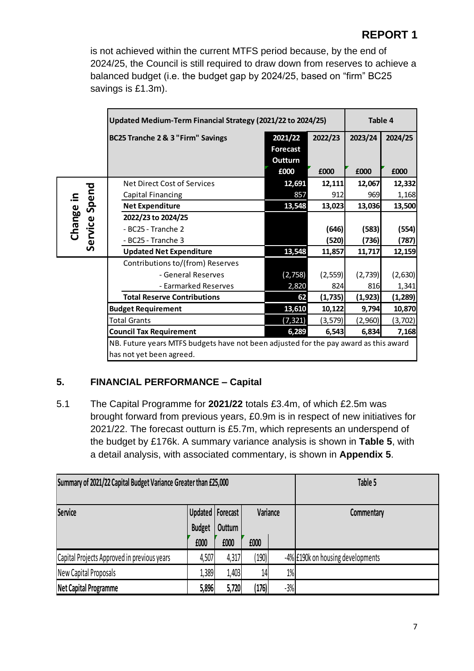is not achieved within the current MTFS period because, by the end of 2024/25, the Council is still required to draw down from reserves to achieve a balanced budget (i.e. the budget gap by 2024/25, based on "firm" BC25 savings is £1.3m).

|                            | Updated Medium-Term Financial Strategy (2021/22 to 2024/25)                          |                                               |                 |                 | Table 4         |
|----------------------------|--------------------------------------------------------------------------------------|-----------------------------------------------|-----------------|-----------------|-----------------|
|                            | BC25 Tranche 2 & 3 "Firm" Savings                                                    | 2021/22<br><b>Forecast</b><br>Outturn<br>£000 | 2022/23<br>£000 | 2023/24<br>£000 | 2024/25<br>£000 |
|                            | Net Direct Cost of Services                                                          | 12,691                                        | 12,111          | 12,067          | 12,332          |
|                            | Capital Financing                                                                    | 857                                           | 912             | 969             | 1,168           |
| Service Spend<br>Change in | <b>Net Expenditure</b>                                                               | 13,548                                        | 13,023          | 13,036          | 13,500          |
|                            | 2022/23 to 2024/25                                                                   |                                               |                 |                 |                 |
|                            | - BC25 - Tranche 2                                                                   |                                               | (646)           | (583)           | (554)           |
|                            | - BC25 - Tranche 3                                                                   |                                               | (520)           | (736)           | (787)           |
|                            | <b>Updated Net Expenditure</b>                                                       | 13,548                                        | 11,857          | 11,717          | 12,159          |
|                            | Contributions to/(from) Reserves                                                     |                                               |                 |                 |                 |
|                            | - General Reserves                                                                   | (2,758)                                       | (2, 559)        | (2,739)         | (2,630)         |
|                            | - Earmarked Reserves                                                                 | 2,820                                         | 824             | 816             | 1,341           |
|                            | <b>Total Reserve Contributions</b>                                                   | 62                                            | (1,735)         | (1, 923)        | (1, 289)        |
|                            | <b>Budget Requirement</b>                                                            | 13,610                                        | 10,122          | 9,794           | 10,870          |
|                            | <b>Total Grants</b>                                                                  | (7, 321)                                      | (3, 579)        | (2,960)         | (3, 702)        |
|                            | <b>Council Tax Requirement</b>                                                       | 6,289                                         | 6,543           | 6,834           | 7,168           |
|                            | NB. Future years MTFS budgets have not been adjusted for the pay award as this award |                                               |                 |                 |                 |
|                            | has not yet been agreed.                                                             |                                               |                 |                 |                 |

# **5. FINANCIAL PERFORMANCE – Capital**

5.1 The Capital Programme for **2021/22** totals £3.4m, of which £2.5m was brought forward from previous years, £0.9m is in respect of new initiatives for 2021/22. The forecast outturn is £5.7m, which represents an underspend of the budget by £176k. A summary variance analysis is shown in **Table 5**, with a detail analysis, with associated commentary, is shown in **Appendix 5**.

| Summary of 2021/22 Capital Budget Variance Greater than £25,000 |                       |                               |       |          | Table 5                           |
|-----------------------------------------------------------------|-----------------------|-------------------------------|-------|----------|-----------------------------------|
| <b>Service</b>                                                  |                       | Updated   Forecast<br>Outturn |       | Variance | Commentary                        |
|                                                                 | <b>Budget</b><br>£000 | £000                          | £000  |          |                                   |
| Capital Projects Approved in previous years                     | 4,507                 | 4,317                         | (190) |          | -4% £190k on housing developments |
| New Capital Proposals                                           | L,389                 | 1,403                         | 14    | $1\%$    |                                   |
| <b>Net Capital Programme</b>                                    | 5,896                 | 5,720                         | (176) | $-3%$    |                                   |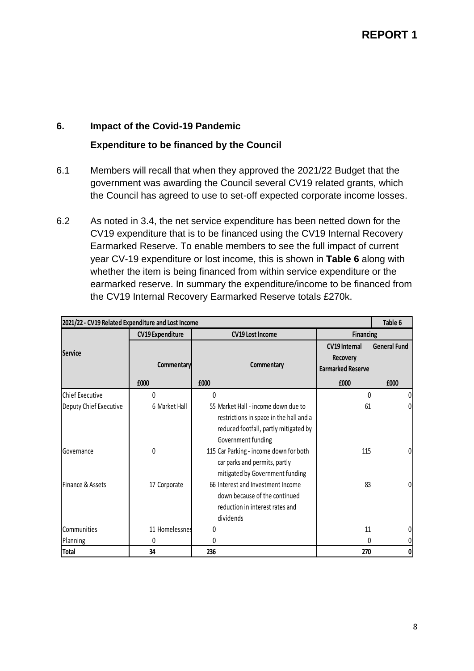## **6. Impact of the Covid-19 Pandemic**

## **Expenditure to be financed by the Council**

- 6.1 Members will recall that when they approved the 2021/22 Budget that the government was awarding the Council several CV19 related grants, which the Council has agreed to use to set-off expected corporate income losses.
- 6.2 As noted in 3.4, the net service expenditure has been netted down for the CV19 expenditure that is to be financed using the CV19 Internal Recovery Earmarked Reserve. To enable members to see the full impact of current year CV-19 expenditure or lost income, this is shown in **Table 6** along with whether the item is being financed from within service expenditure or the earmarked reserve. In summary the expenditure/income to be financed from the CV19 Internal Recovery Earmarked Reserve totals £270k.

| 2021/22 - CV19 Related Expenditure and Lost Income |                         |                                                                                                                                               |                                                              | Table 6             |
|----------------------------------------------------|-------------------------|-----------------------------------------------------------------------------------------------------------------------------------------------|--------------------------------------------------------------|---------------------|
|                                                    | <b>CV19 Expenditure</b> | <b>CV19 Lost Income</b>                                                                                                                       | <b>Financing</b>                                             |                     |
| <b>Service</b>                                     | Commentary              | Commentary                                                                                                                                    | <b>CV19 Internal</b><br>Recovery<br><b>Earmarked Reserve</b> | <b>General Fund</b> |
|                                                    | £000                    | £000                                                                                                                                          | £000                                                         | £000                |
| lChief Executive                                   | 0                       | $\theta$                                                                                                                                      | $\Omega$                                                     | 0                   |
| Deputy Chief Executive                             | 6 Market Hall           | 55 Market Hall - income down due to<br>restrictions in space in the hall and a<br>reduced footfall, partly mitigated by<br>Government funding | 61                                                           | $\Omega$            |
| <b>IGovernance</b>                                 | 0                       | 115 Car Parking - income down for both<br>car parks and permits, partly<br>mitigated by Government funding                                    | 115                                                          | 01                  |
| Finance & Assets                                   | 17 Corporate            | 66 Interest and Investment Income<br>down because of the continued<br>reduction in interest rates and<br>dividends                            | 83                                                           | 0                   |
| Communities                                        | 11 Homelessnes          | 0                                                                                                                                             | 11                                                           |                     |
| Planning                                           | 0                       | 0                                                                                                                                             | O                                                            | 0                   |
| <b>Total</b>                                       | 34                      | 236                                                                                                                                           | 270                                                          | 01                  |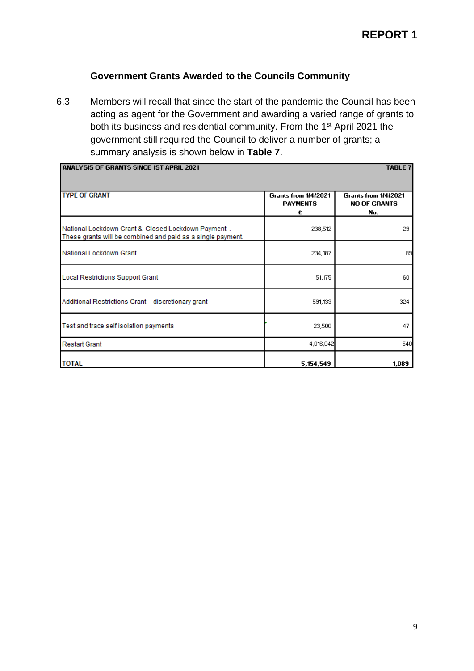# **Government Grants Awarded to the Councils Community**

6.3 Members will recall that since the start of the pandemic the Council has been acting as agent for the Government and awarding a varied range of grants to both its business and residential community. From the 1st April 2021 the government still required the Council to deliver a number of grants; a summary analysis is shown below in **Table 7**.

| <b>ANALYSIS OF GRANTS SINCE 1ST APRIL 2021</b>                                                                    |                                                     | <b>TABLE 7</b>                                     |
|-------------------------------------------------------------------------------------------------------------------|-----------------------------------------------------|----------------------------------------------------|
| <b>TYPE OF GRANT</b>                                                                                              | <b>Grants from 1/4/2021</b><br><b>PAYMENTS</b><br>£ | Grants from 1/4/2021<br><b>NO OF GRANTS</b><br>No. |
| National Lockdown Grant & Closed Lockdown Payment.<br>These grants will be combined and paid as a single payment. | 238,512                                             | 29                                                 |
| National Lockdown Grant                                                                                           | 234,187                                             | 89                                                 |
| <b>Local Restrictions Support Grant</b>                                                                           | 51,175                                              | 60                                                 |
| Additional Restrictions Grant - discretionary grant                                                               | 591,133                                             | 324                                                |
| Test and trace self isolation payments                                                                            | 23,500                                              | 47                                                 |
| <b>Restart Grant</b>                                                                                              | 4,016,042                                           | 540                                                |
| <b>TOTAL</b>                                                                                                      | 5,154,549                                           | 1,089                                              |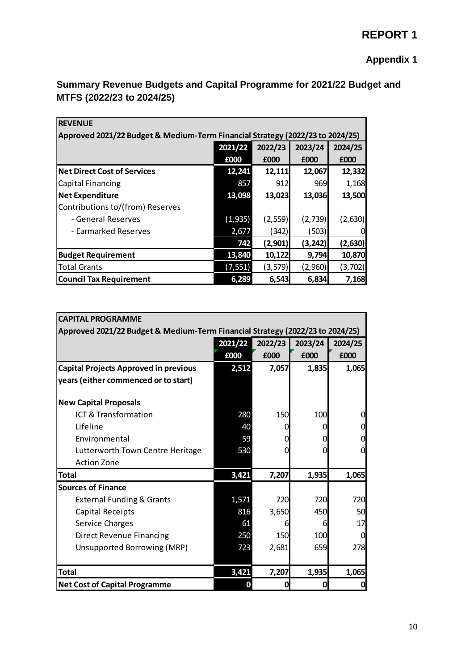# **Appendix 1**

| <b>REVENUE</b>                                                                |          |          |          |          |
|-------------------------------------------------------------------------------|----------|----------|----------|----------|
| Approved 2021/22 Budget & Medium-Term Financial Strategy (2022/23 to 2024/25) |          |          |          |          |
|                                                                               | 2021/22  | 2022/23  | 2023/24  | 2024/25  |
|                                                                               | £000     | £000     | £000     | £000     |
| <b>Net Direct Cost of Services</b>                                            | 12,241   | 12,111   | 12,067   | 12,332   |
| Capital Financing                                                             | 857      | 912      | 969      | 1,168    |
| <b>Net Expenditure</b>                                                        | 13,098   | 13,023   | 13,036   | 13,500   |
| Contributions to/(from) Reserves                                              |          |          |          |          |
| - General Reserves                                                            | (1, 935) | (2, 559) | (2,739)  | (2,630)  |
| - Earmarked Reserves                                                          | 2,677    | (342)    | (503)    | 0        |
|                                                                               | 742      | (2,901)  | (3, 242) | (2,630)  |
| <b>Budget Requirement</b>                                                     | 13,840   | 10,122   | 9,794    | 10,870   |
| <b>Total Grants</b>                                                           | (7, 551) | (3, 579) | (2,960)  | (3, 702) |
| <b>Council Tax Requirement</b>                                                | 6,289    | 6,543    | 6,834    | 7,168    |

# **Summary Revenue Budgets and Capital Programme for 2021/22 Budget and MTFS (2022/23 to 2024/25)**

| <b>CAPITAL PROGRAMME</b>                                                      |         |            |         |          |
|-------------------------------------------------------------------------------|---------|------------|---------|----------|
| Approved 2021/22 Budget & Medium-Term Financial Strategy (2022/23 to 2024/25) |         |            |         |          |
|                                                                               | 2021/22 | 2022/23    | 2023/24 | 2024/25  |
|                                                                               | £000    | £000       | £000    | £000     |
| <b>Capital Projects Approved in previous</b>                                  | 2,512   | 7,057      | 1,835   | 1,065    |
| years (either commenced or to start)                                          |         |            |         |          |
|                                                                               |         |            |         |          |
| <b>New Capital Proposals</b>                                                  |         |            |         |          |
| ICT & Transformation                                                          | 280     | <b>150</b> | 100     | $\Omega$ |
| Lifeline                                                                      | 40      |            | O       | 0        |
| Environmental                                                                 | 59      |            | 0       | 0        |
| Lutterworth Town Centre Heritage                                              | 530     |            | 0       | 0        |
| <b>Action Zone</b>                                                            |         |            |         |          |
| <b>Total</b>                                                                  | 3,421   | 7,207      | 1,935   | 1,065    |
| <b>Sources of Finance</b>                                                     |         |            |         |          |
| <b>External Funding &amp; Grants</b>                                          | 1,571   | 720        | 720     | 720      |
| Capital Receipts                                                              | 816     | 3,650      | 450     | 50       |
| Service Charges                                                               | 61      |            | 6       | 17       |
| <b>Direct Revenue Financing</b>                                               | 250     | 150        | 100     | 0        |
| Unsupported Borrowing (MRP)                                                   | 723     | 2,681      | 659     | 278      |
|                                                                               |         |            |         |          |
| <b>Total</b>                                                                  | 3,421   | 7,207      | 1,935   | 1,065    |
| <b>Net Cost of Capital Programme</b>                                          | 0       | 0          | 0       | 0        |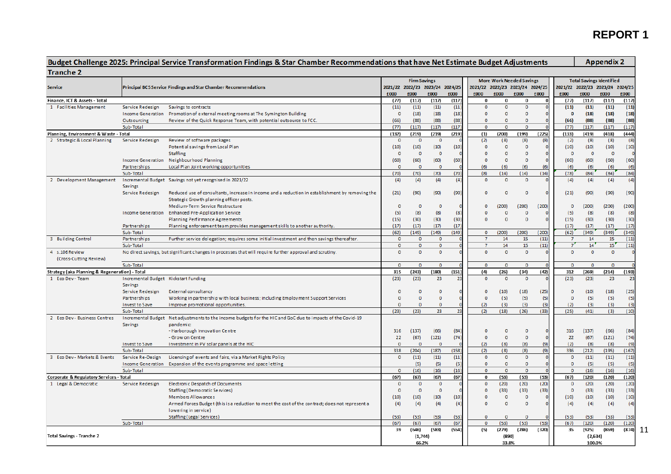# **REPORT 1**

|                                         |                                                                                                                                                                                                                                                                                                                                                                                                                                                                                                                                                                                                                                                                                                                                                                                                                                                                                                                                                                                                                                                                                                                                                                                                                                                                                                                                                                                                                                                                                                                                        |                                                                                                             |                                 |                     |                |                |                                 |                |                                 |                |                                 |                                 | <b>Appendix 2</b> |       |
|-----------------------------------------|----------------------------------------------------------------------------------------------------------------------------------------------------------------------------------------------------------------------------------------------------------------------------------------------------------------------------------------------------------------------------------------------------------------------------------------------------------------------------------------------------------------------------------------------------------------------------------------------------------------------------------------------------------------------------------------------------------------------------------------------------------------------------------------------------------------------------------------------------------------------------------------------------------------------------------------------------------------------------------------------------------------------------------------------------------------------------------------------------------------------------------------------------------------------------------------------------------------------------------------------------------------------------------------------------------------------------------------------------------------------------------------------------------------------------------------------------------------------------------------------------------------------------------------|-------------------------------------------------------------------------------------------------------------|---------------------------------|---------------------|----------------|----------------|---------------------------------|----------------|---------------------------------|----------------|---------------------------------|---------------------------------|-------------------|-------|
| <b>Tranche 2</b>                        |                                                                                                                                                                                                                                                                                                                                                                                                                                                                                                                                                                                                                                                                                                                                                                                                                                                                                                                                                                                                                                                                                                                                                                                                                                                                                                                                                                                                                                                                                                                                        |                                                                                                             |                                 |                     |                |                |                                 |                |                                 |                |                                 |                                 |                   |       |
|                                         |                                                                                                                                                                                                                                                                                                                                                                                                                                                                                                                                                                                                                                                                                                                                                                                                                                                                                                                                                                                                                                                                                                                                                                                                                                                                                                                                                                                                                                                                                                                                        |                                                                                                             |                                 | <b>Firm Savings</b> |                |                |                                 |                | <b>More Work Needed Savings</b> |                |                                 | <b>Total Savings Identified</b> |                   |       |
| <b>Service</b>                          |                                                                                                                                                                                                                                                                                                                                                                                                                                                                                                                                                                                                                                                                                                                                                                                                                                                                                                                                                                                                                                                                                                                                                                                                                                                                                                                                                                                                                                                                                                                                        |                                                                                                             | 2021/22 2022/23 2023/24 2024/25 |                     |                |                | 2021/22 2022/23 2023/24 2024/25 |                |                                 |                | 2021/22 2022/23 2023/24 2024/25 |                                 |                   |       |
|                                         |                                                                                                                                                                                                                                                                                                                                                                                                                                                                                                                                                                                                                                                                                                                                                                                                                                                                                                                                                                                                                                                                                                                                                                                                                                                                                                                                                                                                                                                                                                                                        |                                                                                                             | £000                            | £000                | £000           | £000           | £000                            | £000           | £000                            | £000           | £000                            | £000                            | £000              | £000  |
| Finance, ICT & Assets - Total           |                                                                                                                                                                                                                                                                                                                                                                                                                                                                                                                                                                                                                                                                                                                                                                                                                                                                                                                                                                                                                                                                                                                                                                                                                                                                                                                                                                                                                                                                                                                                        |                                                                                                             | (77)                            | (117)               | (117)          | (117)          | $\bf{0}$                        | 0              | 0                               | 0              | (77)                            | (117)                           | (117)             | (117) |
| 1 Facilities Management                 | Service Redesign                                                                                                                                                                                                                                                                                                                                                                                                                                                                                                                                                                                                                                                                                                                                                                                                                                                                                                                                                                                                                                                                                                                                                                                                                                                                                                                                                                                                                                                                                                                       | Savings to contracts                                                                                        | (11)                            | (11)                | (11)           | (11)           | $\circ$                         | $\circ$        | $\overline{0}$                  | $\overline{0}$ | (11)                            | (11)                            | (11)              | (11)  |
|                                         | Income Generation                                                                                                                                                                                                                                                                                                                                                                                                                                                                                                                                                                                                                                                                                                                                                                                                                                                                                                                                                                                                                                                                                                                                                                                                                                                                                                                                                                                                                                                                                                                      |                                                                                                             | $\overline{0}$                  | (18)                | (18)           | (18)           | $\mathbf 0$                     | $\overline{0}$ | 0                               | o              | $\bf{0}$                        | (18)                            | (18)              | (18)  |
|                                         | Budget Challenge 2025: Principal Service Transformation Findings & Star Chamber Recommendations that have Net Estimate Budget Adjustments<br>Principal BC5 Service Findings and Star Chamber Recommendations<br>Promotion of external meeting rooms at The Symington Building<br>Review of the Quick Response Team, with potential outsource to FCC.<br>Outsourcing<br>Sub-Total<br>Planning, Environment & Waste - Total<br>2 Strategic & Local Planning<br>Service Redesign<br>Review of software packages<br>Potential savings from Local Plan<br>Staffing<br>Neighbourhood Planning<br>Income Generation<br>Local Plan Joint working opportunities<br>Partnerships<br>Sub-Total<br>Incremental Budget Savings not yet recognised in 2021/22<br><b>Savings</b><br>Service Redesign<br>Strategic Growth planning officer posts.<br>Medium-Term Service Restructure<br><b>Enhanced Pre-Application Service</b><br>Income Generation<br><b>Planning Perfirmance Agreements</b><br>Partnerships<br>Planning enforcement team provides management skills to another authority<br>Sub-Total<br>3 Building Control<br>Partnerships<br>Further service delegation; requires some initial investment and then savings thereafter.<br>Sub-Total<br>4 s.106 Review<br>No direct savings, but significant changes in processes that will require further approval and scrutiny.<br>(Cross-Cutting Review)<br>Sub-Total<br>Strategy (aka Planning & Regeneration) - Total<br>Incremental Budget Kickstart Funding<br>1 Eco Dev - Team<br>Savings | (66)                                                                                                        | (88)                            | (88)                | (88)           | $\mathbf 0$    | $\mathbf 0$                     | o              | O                               | (66)           | (88)                            | (88)                            | (88)              |       |
|                                         |                                                                                                                                                                                                                                                                                                                                                                                                                                                                                                                                                                                                                                                                                                                                                                                                                                                                                                                                                                                                                                                                                                                                                                                                                                                                                                                                                                                                                                                                                                                                        |                                                                                                             | (77)                            | (117)               | (117)          | (117)          | $\mathbf{0}$                    | $\Omega$       | $\circ$                         | $\Omega$       | (77)                            | (117)                           | (117)             | (117) |
|                                         |                                                                                                                                                                                                                                                                                                                                                                                                                                                                                                                                                                                                                                                                                                                                                                                                                                                                                                                                                                                                                                                                                                                                                                                                                                                                                                                                                                                                                                                                                                                                        |                                                                                                             | (132)                           | (219)               | (219)          | (219)          | (1)                             | (200)          | (199)                           | (225)          | (133)                           | (419)                           | (418)             | (444) |
|                                         |                                                                                                                                                                                                                                                                                                                                                                                                                                                                                                                                                                                                                                                                                                                                                                                                                                                                                                                                                                                                                                                                                                                                                                                                                                                                                                                                                                                                                                                                                                                                        |                                                                                                             | $\circ$                         | $\mathbf{0}$        | $\circ$        |                | (2)                             | (8)            | (8)                             | (8)            | (2)                             | (8)                             | (8)               | (8)   |
|                                         |                                                                                                                                                                                                                                                                                                                                                                                                                                                                                                                                                                                                                                                                                                                                                                                                                                                                                                                                                                                                                                                                                                                                                                                                                                                                                                                                                                                                                                                                                                                                        |                                                                                                             | (10)                            | (10)                | (10)           | (10)           | $\overline{0}$                  | $\overline{0}$ | $\overline{0}$                  | 0              | (10)                            | (10)                            | (10)              | (10)  |
|                                         |                                                                                                                                                                                                                                                                                                                                                                                                                                                                                                                                                                                                                                                                                                                                                                                                                                                                                                                                                                                                                                                                                                                                                                                                                                                                                                                                                                                                                                                                                                                                        |                                                                                                             | $\mathbf 0$                     | $\Omega$            | $\mathbf 0$    |                | $\Omega$                        | $\Omega$       | $\overline{0}$                  | $\Omega$       | $\circ$                         | $\circ$                         | $\mathbf 0$       |       |
|                                         |                                                                                                                                                                                                                                                                                                                                                                                                                                                                                                                                                                                                                                                                                                                                                                                                                                                                                                                                                                                                                                                                                                                                                                                                                                                                                                                                                                                                                                                                                                                                        |                                                                                                             |                                 |                     |                |                |                                 |                |                                 |                |                                 |                                 |                   |       |
|                                         |                                                                                                                                                                                                                                                                                                                                                                                                                                                                                                                                                                                                                                                                                                                                                                                                                                                                                                                                                                                                                                                                                                                                                                                                                                                                                                                                                                                                                                                                                                                                        |                                                                                                             | (60)                            | (60)                | (60)           | (60)           | $\circ$                         | $\circ$        | 0                               | $\circ$        | (60)                            | (60)                            | (60)              | (60)  |
|                                         |                                                                                                                                                                                                                                                                                                                                                                                                                                                                                                                                                                                                                                                                                                                                                                                                                                                                                                                                                                                                                                                                                                                                                                                                                                                                                                                                                                                                                                                                                                                                        |                                                                                                             | $\circ$                         | $\Omega$            | $\overline{0}$ |                | (6)                             | (6)            | (6)                             | (6)            | (6)                             | (6)                             | (6)               | (6)   |
|                                         |                                                                                                                                                                                                                                                                                                                                                                                                                                                                                                                                                                                                                                                                                                                                                                                                                                                                                                                                                                                                                                                                                                                                                                                                                                                                                                                                                                                                                                                                                                                                        |                                                                                                             | (70)                            | (70)                | (70)           | (70)           | (8)                             | (14)           | (14)                            | (14)           | (78)                            | (84)                            | (84)              | (84)  |
| 2 Development Management                |                                                                                                                                                                                                                                                                                                                                                                                                                                                                                                                                                                                                                                                                                                                                                                                                                                                                                                                                                                                                                                                                                                                                                                                                                                                                                                                                                                                                                                                                                                                                        |                                                                                                             | (4)                             | (4)                 | (4)            | (4)            | $\circ$                         | $\Omega$       | $\Omega$                        |                | (4)                             | (4)                             | (4)               | (4)   |
|                                         |                                                                                                                                                                                                                                                                                                                                                                                                                                                                                                                                                                                                                                                                                                                                                                                                                                                                                                                                                                                                                                                                                                                                                                                                                                                                                                                                                                                                                                                                                                                                        |                                                                                                             |                                 |                     |                |                |                                 |                |                                 |                |                                 |                                 |                   |       |
|                                         |                                                                                                                                                                                                                                                                                                                                                                                                                                                                                                                                                                                                                                                                                                                                                                                                                                                                                                                                                                                                                                                                                                                                                                                                                                                                                                                                                                                                                                                                                                                                        | Reduced use of consultants, increase in income and a reduction in establishment by removing the             | (21)                            | (90)                | (90)           | (90)           | $\mathbf 0$                     | $\mathbf 0$    | $\circ$                         |                | (21)                            | (90)                            | (90)              | (90)  |
|                                         |                                                                                                                                                                                                                                                                                                                                                                                                                                                                                                                                                                                                                                                                                                                                                                                                                                                                                                                                                                                                                                                                                                                                                                                                                                                                                                                                                                                                                                                                                                                                        |                                                                                                             |                                 |                     |                |                |                                 |                |                                 |                |                                 |                                 |                   |       |
|                                         |                                                                                                                                                                                                                                                                                                                                                                                                                                                                                                                                                                                                                                                                                                                                                                                                                                                                                                                                                                                                                                                                                                                                                                                                                                                                                                                                                                                                                                                                                                                                        |                                                                                                             | $\overline{0}$                  | $\Omega$            | $\Omega$       |                | $\overline{0}$                  | (200)          | (200)                           | (200)          | $\mathbf 0$                     | (200)                           | (200)             | (200) |
|                                         |                                                                                                                                                                                                                                                                                                                                                                                                                                                                                                                                                                                                                                                                                                                                                                                                                                                                                                                                                                                                                                                                                                                                                                                                                                                                                                                                                                                                                                                                                                                                        |                                                                                                             | (5)                             | (8)                 | (8)            | (8)            | $\overline{0}$                  | $\mathbf 0$    | $\overline{0}$                  |                | (5)                             | (8)                             | (8)               | (8)   |
|                                         |                                                                                                                                                                                                                                                                                                                                                                                                                                                                                                                                                                                                                                                                                                                                                                                                                                                                                                                                                                                                                                                                                                                                                                                                                                                                                                                                                                                                                                                                                                                                        |                                                                                                             | (15)                            | (30)                | (30)           | (30)           | $\overline{0}$                  | $\overline{0}$ | $\overline{0}$                  |                | (15)                            | (30)                            | (30)              | (30)  |
|                                         |                                                                                                                                                                                                                                                                                                                                                                                                                                                                                                                                                                                                                                                                                                                                                                                                                                                                                                                                                                                                                                                                                                                                                                                                                                                                                                                                                                                                                                                                                                                                        |                                                                                                             | (17)                            | (17)                | (17)           | (17)           |                                 |                |                                 |                | (17)                            | (17)                            | (17)              | (17)  |
|                                         |                                                                                                                                                                                                                                                                                                                                                                                                                                                                                                                                                                                                                                                                                                                                                                                                                                                                                                                                                                                                                                                                                                                                                                                                                                                                                                                                                                                                                                                                                                                                        |                                                                                                             | (62)                            | (149)               | (149)          | (149)          | $\circ$                         | (200)          | (200)                           | (200)          | (62)                            | (349)                           | (349)             | (349) |
|                                         |                                                                                                                                                                                                                                                                                                                                                                                                                                                                                                                                                                                                                                                                                                                                                                                                                                                                                                                                                                                                                                                                                                                                                                                                                                                                                                                                                                                                                                                                                                                                        |                                                                                                             | $\Omega$                        | $\Omega$            | $\mathbf{O}$   |                | $\overline{7}$                  | 14             | 15                              | (11)           | $\overline{7}$                  | 14                              | 15                | (11)  |
|                                         |                                                                                                                                                                                                                                                                                                                                                                                                                                                                                                                                                                                                                                                                                                                                                                                                                                                                                                                                                                                                                                                                                                                                                                                                                                                                                                                                                                                                                                                                                                                                        |                                                                                                             | $\Omega$                        | $\Omega$            | $\circ$        |                | $\overline{7}$                  | 14             | 15                              | (11)           | 7'                              | 14                              | 15                | (11)  |
|                                         |                                                                                                                                                                                                                                                                                                                                                                                                                                                                                                                                                                                                                                                                                                                                                                                                                                                                                                                                                                                                                                                                                                                                                                                                                                                                                                                                                                                                                                                                                                                                        |                                                                                                             | $\Omega$                        | $\Omega$            | $\mathbf{O}$   |                | $\overline{0}$                  | $\mathbf{O}$   | $\overline{0}$                  |                | $\Omega$                        | $\Omega$                        | $\Omega$          |       |
|                                         |                                                                                                                                                                                                                                                                                                                                                                                                                                                                                                                                                                                                                                                                                                                                                                                                                                                                                                                                                                                                                                                                                                                                                                                                                                                                                                                                                                                                                                                                                                                                        |                                                                                                             |                                 |                     |                |                |                                 |                |                                 |                |                                 |                                 |                   |       |
|                                         |                                                                                                                                                                                                                                                                                                                                                                                                                                                                                                                                                                                                                                                                                                                                                                                                                                                                                                                                                                                                                                                                                                                                                                                                                                                                                                                                                                                                                                                                                                                                        |                                                                                                             | $\Omega$                        | $\Omega$            | $\Omega$       |                | $\overline{0}$                  | $\circ$        | $\Omega$                        | $\mathbf 0$    | $\overline{0}$                  | $\overline{0}$                  | $\Omega$          |       |
|                                         |                                                                                                                                                                                                                                                                                                                                                                                                                                                                                                                                                                                                                                                                                                                                                                                                                                                                                                                                                                                                                                                                                                                                                                                                                                                                                                                                                                                                                                                                                                                                        |                                                                                                             | 315                             | (243)               | (180)          | (151)          | (4)                             | (26)           | (34)                            | (42)           | 312                             | (269)                           | (214)             | (193) |
|                                         |                                                                                                                                                                                                                                                                                                                                                                                                                                                                                                                                                                                                                                                                                                                                                                                                                                                                                                                                                                                                                                                                                                                                                                                                                                                                                                                                                                                                                                                                                                                                        |                                                                                                             | (23)                            | (23)                | 23             | 23             | $\mathbf{0}$                    | $\Omega$       | $\mathbf{0}$                    | $\Omega$       | (23)                            | (23)                            | 23                | 23    |
|                                         |                                                                                                                                                                                                                                                                                                                                                                                                                                                                                                                                                                                                                                                                                                                                                                                                                                                                                                                                                                                                                                                                                                                                                                                                                                                                                                                                                                                                                                                                                                                                        |                                                                                                             |                                 |                     |                |                |                                 |                |                                 |                |                                 |                                 |                   |       |
|                                         |                                                                                                                                                                                                                                                                                                                                                                                                                                                                                                                                                                                                                                                                                                                                                                                                                                                                                                                                                                                                                                                                                                                                                                                                                                                                                                                                                                                                                                                                                                                                        |                                                                                                             | Ð                               | $\Omega$            | $\mathbf 0$    |                | $\circ$                         |                | (18)                            |                | $\mathbf 0$                     |                                 |                   |       |
|                                         | Service Redesign                                                                                                                                                                                                                                                                                                                                                                                                                                                                                                                                                                                                                                                                                                                                                                                                                                                                                                                                                                                                                                                                                                                                                                                                                                                                                                                                                                                                                                                                                                                       | External consultancy                                                                                        |                                 |                     |                |                |                                 | (10)           |                                 | (25)           |                                 | (10)                            | (18)              | (25)  |
|                                         | Partnerships                                                                                                                                                                                                                                                                                                                                                                                                                                                                                                                                                                                                                                                                                                                                                                                                                                                                                                                                                                                                                                                                                                                                                                                                                                                                                                                                                                                                                                                                                                                           | Working in partnership with local business; including Employment Support Services                           | $\overline{0}$                  | $\mathbf 0$         | $\circ$        |                | $\circ$                         | (5)            | (5)                             | (5)            | $\circ$                         | (5)                             | (5)               | (5)   |
|                                         | Invest to Save                                                                                                                                                                                                                                                                                                                                                                                                                                                                                                                                                                                                                                                                                                                                                                                                                                                                                                                                                                                                                                                                                                                                                                                                                                                                                                                                                                                                                                                                                                                         | Improve promotional opportunities.                                                                          | O                               | $\circ$             | $\circ$        |                | (2)                             | (3)            | (3)                             | (3)            | (2)                             | (3)                             | (3)               | (3)   |
|                                         | Sub-Total                                                                                                                                                                                                                                                                                                                                                                                                                                                                                                                                                                                                                                                                                                                                                                                                                                                                                                                                                                                                                                                                                                                                                                                                                                                                                                                                                                                                                                                                                                                              |                                                                                                             | (23)                            | (23)                | 23             | $\overline{2}$ | (2)                             | (18)           | (26)                            | (33)           | (25)                            | (41)                            | (3)               | (10)  |
| 2 Eco Dev - Business Centres            |                                                                                                                                                                                                                                                                                                                                                                                                                                                                                                                                                                                                                                                                                                                                                                                                                                                                                                                                                                                                                                                                                                                                                                                                                                                                                                                                                                                                                                                                                                                                        | Incremental Budget Net adjustments to the income budgets for the HIC and GoC due to impacts of the Covid-19 |                                 |                     |                |                |                                 |                |                                 |                |                                 |                                 |                   |       |
|                                         | <b>Savings</b>                                                                                                                                                                                                                                                                                                                                                                                                                                                                                                                                                                                                                                                                                                                                                                                                                                                                                                                                                                                                                                                                                                                                                                                                                                                                                                                                                                                                                                                                                                                         | pandemic:                                                                                                   |                                 |                     |                |                |                                 |                |                                 |                |                                 |                                 |                   |       |
|                                         |                                                                                                                                                                                                                                                                                                                                                                                                                                                                                                                                                                                                                                                                                                                                                                                                                                                                                                                                                                                                                                                                                                                                                                                                                                                                                                                                                                                                                                                                                                                                        | - Harborough Innovation Centre                                                                              | 316                             | (137)               | (66)           | (84)           | $\circ$                         | $\circ$        | $\circ$                         |                | 316                             | (137)                           | (66)              | (84)  |
|                                         |                                                                                                                                                                                                                                                                                                                                                                                                                                                                                                                                                                                                                                                                                                                                                                                                                                                                                                                                                                                                                                                                                                                                                                                                                                                                                                                                                                                                                                                                                                                                        | - Grow on Centre                                                                                            | 22                              | (67)                | (121)          | (74)           | $\circ$                         | $\circ$        | $\overline{0}$                  | O              | 22                              | (67)                            | (121)             | (74)  |
|                                         | Invest to Save                                                                                                                                                                                                                                                                                                                                                                                                                                                                                                                                                                                                                                                                                                                                                                                                                                                                                                                                                                                                                                                                                                                                                                                                                                                                                                                                                                                                                                                                                                                         | Investment in PV solar panels at the HIC                                                                    | $\Omega$                        | $\Omega$            | $\Omega$       |                | (2)                             | (8)            | (8)                             | (9)            | (2)                             | (8)                             | (8)               | (9)   |
|                                         | Sub-Total                                                                                                                                                                                                                                                                                                                                                                                                                                                                                                                                                                                                                                                                                                                                                                                                                                                                                                                                                                                                                                                                                                                                                                                                                                                                                                                                                                                                                                                                                                                              |                                                                                                             | 338                             | (204)               | (187)          | (158)          | (2)                             | (8)            | (8)                             | (9)            | 336                             | (212)                           | (195)             | (167) |
| 3 Eco Dev - Markets & Events            | Service Re-Design                                                                                                                                                                                                                                                                                                                                                                                                                                                                                                                                                                                                                                                                                                                                                                                                                                                                                                                                                                                                                                                                                                                                                                                                                                                                                                                                                                                                                                                                                                                      | Licensing of events and fairs, via a Market Rights Policy                                                   | $\Omega$                        | (11)                | (11)           | (11)           | $\overline{0}$                  | $\mathbf{0}$   | $\Omega$                        | $\mathbf 0$    | $\Omega$                        | (11)                            | (11)              | (11)  |
|                                         |                                                                                                                                                                                                                                                                                                                                                                                                                                                                                                                                                                                                                                                                                                                                                                                                                                                                                                                                                                                                                                                                                                                                                                                                                                                                                                                                                                                                                                                                                                                                        | Income Generation Expansion of the events programme and space letting                                       |                                 | (5)                 | (5)            | (5)            | $\circ$                         | $\Omega$       | $\Omega$                        | $\Omega$       | $\circ$                         | (5)                             | (5)               | (5)   |
|                                         | Sub-Total                                                                                                                                                                                                                                                                                                                                                                                                                                                                                                                                                                                                                                                                                                                                                                                                                                                                                                                                                                                                                                                                                                                                                                                                                                                                                                                                                                                                                                                                                                                              |                                                                                                             | $\overline{0}$                  | (16)                | (16)           | (16)           | $\circ$                         | $\circ$        | $\overline{0}$                  | $\overline{0}$ | $\circ$                         | (16)                            | (16)              | (16)  |
| Corporate & Regulatory Services - Total |                                                                                                                                                                                                                                                                                                                                                                                                                                                                                                                                                                                                                                                                                                                                                                                                                                                                                                                                                                                                                                                                                                                                                                                                                                                                                                                                                                                                                                                                                                                                        |                                                                                                             | (67)                            | (67)                | (67)           | (67)           | 0                               | (53)           | (53)                            | (53)           | (67)                            | (120)                           | (120)             | (120) |
| 1 Legal & Democratic                    | Service Redesign                                                                                                                                                                                                                                                                                                                                                                                                                                                                                                                                                                                                                                                                                                                                                                                                                                                                                                                                                                                                                                                                                                                                                                                                                                                                                                                                                                                                                                                                                                                       | <b>Electronic Despatch of Documents</b>                                                                     | $\Omega$                        | $\circ$             | $\mathbf 0$    |                | $\mathbf 0$                     | (20)           | (20)                            | (20)           | $\circ$                         | (20)                            | (20)              | (20)  |
|                                         |                                                                                                                                                                                                                                                                                                                                                                                                                                                                                                                                                                                                                                                                                                                                                                                                                                                                                                                                                                                                                                                                                                                                                                                                                                                                                                                                                                                                                                                                                                                                        | Staffing (Democratic Services)                                                                              | $\mathbf 0$                     | $\Omega$            | $\overline{0}$ |                | $\mathbf 0$                     | (33)           | (33)                            | (33)           | $\mathbf 0$                     | (33)                            | (33)              | (33)  |
|                                         |                                                                                                                                                                                                                                                                                                                                                                                                                                                                                                                                                                                                                                                                                                                                                                                                                                                                                                                                                                                                                                                                                                                                                                                                                                                                                                                                                                                                                                                                                                                                        | <b>Members Allowances</b>                                                                                   | (10)                            | (10)                | (10)           | (10)           | $\overline{0}$                  | $\circ$        | $\overline{0}$                  |                | (10)                            | (10)                            | (10)              | (10)  |
|                                         |                                                                                                                                                                                                                                                                                                                                                                                                                                                                                                                                                                                                                                                                                                                                                                                                                                                                                                                                                                                                                                                                                                                                                                                                                                                                                                                                                                                                                                                                                                                                        |                                                                                                             |                                 |                     |                |                |                                 |                | $\mathbf{O}$                    |                |                                 |                                 |                   |       |
|                                         |                                                                                                                                                                                                                                                                                                                                                                                                                                                                                                                                                                                                                                                                                                                                                                                                                                                                                                                                                                                                                                                                                                                                                                                                                                                                                                                                                                                                                                                                                                                                        | Armed Forces Budget (this is a reduction to meet the cost of the contract; does not represent a             | (4)                             | (4)                 | (4)            | (4)            | $\overline{0}$                  | $\overline{0}$ |                                 |                | (4)                             | (4)                             | (4)               | (4)   |
|                                         |                                                                                                                                                                                                                                                                                                                                                                                                                                                                                                                                                                                                                                                                                                                                                                                                                                                                                                                                                                                                                                                                                                                                                                                                                                                                                                                                                                                                                                                                                                                                        | lowering in service)                                                                                        |                                 |                     |                |                |                                 |                |                                 |                |                                 |                                 |                   |       |
|                                         |                                                                                                                                                                                                                                                                                                                                                                                                                                                                                                                                                                                                                                                                                                                                                                                                                                                                                                                                                                                                                                                                                                                                                                                                                                                                                                                                                                                                                                                                                                                                        | Staffing (Legal Services)                                                                                   | (53)                            | (53)                | (53)           | (53)           | $\circ$                         | $\Omega$       | $\circ$                         |                | (53)                            | (53)                            | (53)              | (53)  |
|                                         | Sub-Total                                                                                                                                                                                                                                                                                                                                                                                                                                                                                                                                                                                                                                                                                                                                                                                                                                                                                                                                                                                                                                                                                                                                                                                                                                                                                                                                                                                                                                                                                                                              |                                                                                                             | (67)                            | (67)                | (67)           | (67)           | $\overline{0}$                  | (53)           | (53)                            | (53)           | (67)                            | (120)                           | (120)             | (120) |
|                                         |                                                                                                                                                                                                                                                                                                                                                                                                                                                                                                                                                                                                                                                                                                                                                                                                                                                                                                                                                                                                                                                                                                                                                                                                                                                                                                                                                                                                                                                                                                                                        |                                                                                                             | 39                              | (646)               | (583)          | (554)          | (5)                             | (279)          | (286)                           | (320)          | 35                              | (925)                           | (869)             | (874) |
| Total Savings - Tranche 2               |                                                                                                                                                                                                                                                                                                                                                                                                                                                                                                                                                                                                                                                                                                                                                                                                                                                                                                                                                                                                                                                                                                                                                                                                                                                                                                                                                                                                                                                                                                                                        |                                                                                                             |                                 | (1,744)             |                |                |                                 | (890)          |                                 |                |                                 | (2,634)                         |                   |       |
|                                         |                                                                                                                                                                                                                                                                                                                                                                                                                                                                                                                                                                                                                                                                                                                                                                                                                                                                                                                                                                                                                                                                                                                                                                                                                                                                                                                                                                                                                                                                                                                                        |                                                                                                             |                                 | 66.2%               |                |                |                                 | 33.8%          |                                 |                |                                 | 100.0%                          |                   |       |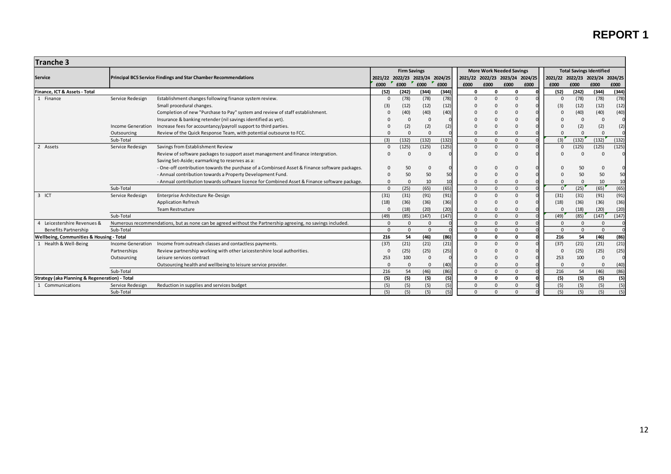| <b>Tranche 3</b>                                    |                          |                                                                                                            |                                 |                   |                   |       |          |                                 |                                 |                                 |          |                                 |          |       |
|-----------------------------------------------------|--------------------------|------------------------------------------------------------------------------------------------------------|---------------------------------|-------------------|-------------------|-------|----------|---------------------------------|---------------------------------|---------------------------------|----------|---------------------------------|----------|-------|
|                                                     |                          |                                                                                                            | <b>Firm Savings</b>             |                   |                   |       |          | <b>More Work Needed Savings</b> |                                 | <b>Total Savings Identified</b> |          |                                 |          |       |
| Service                                             |                          | <b>Principal BC5 Service Findings and Star Chamber Recommendations</b>                                     | 2021/22 2022/23 2023/24 2024/25 |                   |                   |       |          |                                 | 2021/22 2022/23 2023/24 2024/25 |                                 |          | 2021/22 2022/23 2023/24 2024/25 |          |       |
|                                                     |                          |                                                                                                            | £000                            | $\mathbf{F}$ £000 | $\mathbf{F}$ £000 | £000  | £000     | £000                            | £000<br>£000                    | £000                            |          | £000                            | £000     | £000  |
| Finance, ICT & Assets - Total                       |                          |                                                                                                            | (52)                            | (242)             | (344)             | (344) | n        | $\mathbf{0}$                    | $\Omega$                        |                                 | (52)     | (242)                           | (344)    | (344) |
| 1 Finance                                           | Service Redesign         | Establishment changes following finance system review.                                                     |                                 | (78)              | (78)              | (78)  | $\Omega$ | $\mathbf{0}$                    | $\Omega$                        |                                 | $\Omega$ | (78)                            | (78)     | (78)  |
|                                                     |                          | Small procedural changes.                                                                                  | (3)                             | (12)              | (12)              | (12)  |          |                                 |                                 |                                 | (3)      | (12)                            | (12)     | (12)  |
|                                                     |                          | Completion of new "Purchase to Pay" system and review of staff establishment.                              |                                 | (40)              | (40)              | (40)  |          |                                 | $\Omega$                        |                                 |          | (40)                            | (40)     | (40)  |
|                                                     |                          | Insurance & banking retender (nil savings identified as yet).                                              |                                 | $\Omega$          | $\Omega$          |       |          |                                 |                                 |                                 |          | $\Omega$                        |          |       |
|                                                     | <b>Income Generation</b> | Increase fees for accountancy/payroll support to third parties.                                            |                                 | (2)               | (2)               | (2)   |          |                                 |                                 |                                 |          | (2)                             | (2)      | (2)   |
|                                                     | Outsourcing              | Review of the Quick Response Team, with potential outsource to FCC.                                        |                                 | $\Omega$          |                   |       |          |                                 |                                 |                                 |          | $\Omega$                        |          |       |
|                                                     | Sub-Total                |                                                                                                            | (3)                             | (132)             | (132)             | (132) | $\Omega$ | $\mathbf{0}$                    | $\Omega$                        |                                 | (3)      | (132)                           | (132)    | (132) |
| 2 Assets                                            | Service Redesign         | Savings from Establishment Review                                                                          |                                 | (125)             | (125)             | (125) | $\Omega$ | $\Omega$                        | $\Omega$                        |                                 | $\Omega$ | (125)                           | (125)    | (125) |
|                                                     |                          | Review of software packages to support asset management and finance intergration.                          |                                 | $\Omega$          |                   |       |          |                                 | $\Omega$                        |                                 |          |                                 |          |       |
|                                                     |                          | Saving Set-Aside; earmarking to reserves as a:                                                             |                                 |                   |                   |       |          |                                 |                                 |                                 |          |                                 |          |       |
|                                                     |                          | - One-off contribution towards the purchase of a Combinsed Asset & Finance software packages.              |                                 | 50                |                   |       |          |                                 |                                 |                                 |          | 50                              |          |       |
|                                                     |                          | - Annual contribution towards a Property Development Fund.                                                 |                                 | 50                | 50                | 50    |          |                                 |                                 |                                 |          | 50                              | 50       | 50    |
|                                                     |                          | - Annual contribution towards software licence for Combined Asset & Finance software package.              |                                 | $\Omega$          | 10                | 10    |          |                                 | $\Omega$                        |                                 |          | $\Omega$                        | 10       | 10    |
|                                                     | Sub-Total                |                                                                                                            | $\Omega$                        | (25)              | (65)              | (65)  | $\Omega$ | $\Omega$                        | $\Omega$                        |                                 | $\Omega$ | (25)                            | (65)     | (65)  |
| $3$ ICT                                             | Service Redesign         | Enterprise Architecture Re-Design                                                                          | (31)                            | (31)              | (91)              | (91)  | $\Omega$ | $\Omega$                        | $\Omega$                        |                                 | (31)     | (31)                            | (91)     | (91)  |
|                                                     |                          | <b>Application Refresh</b>                                                                                 | (18)                            | (36)              | (36)              | (36)  |          |                                 | $\Omega$                        |                                 | (18)     | (36)                            | (36)     | (36)  |
|                                                     |                          | <b>Team Restructure</b>                                                                                    |                                 | (18)              | (20)              | (20)  |          |                                 |                                 |                                 |          | (18)                            | (20)     | (20)  |
|                                                     | Sub-Total                |                                                                                                            | (49)                            | (85)              | (147)             | (147) | $\Omega$ | $\Omega$                        | $\Omega$                        |                                 | (49)     | (85)                            | (147)    | (147) |
| Leicestershire Revenues &                           |                          | Numerous recommendations, but as none can be agreed without the Partnership agreeing, no savings included. | $\Omega$                        | $\Omega$          | $\Omega$          |       | $\Omega$ | $\Omega$                        | $\Omega$                        |                                 | $\Omega$ | $\Omega$                        | $\Omega$ |       |
| <b>Benefits Partnership</b>                         | Sub-Total                |                                                                                                            | $\Omega$                        | $\Omega$          | $\Omega$          |       | $\Omega$ | $\Omega$                        | $\Omega$                        |                                 | $\Omega$ | $\Omega$                        | $\Omega$ |       |
| <b>Wellbeing, Communities &amp; Housing - Total</b> |                          |                                                                                                            | 216                             | 54                | (46)              | (86)  | 0        | $\mathbf{0}$                    | $\mathbf{0}$                    |                                 | 216      | 54                              | (46)     | (86)  |
| 1 Health & Well-Being                               | Income Generation        | Income from outreach classes and contactless payments.                                                     | (37)                            | (21)              | (21)              | (21)  | $\Omega$ | $\Omega$                        | $\Omega$                        |                                 | (37)     | (21)                            | (21)     | (21)  |
|                                                     | Partnerships             | Review partnership working with other Leicestershire local authorities.                                    |                                 | (25)              | (25)              | (25)  |          |                                 |                                 |                                 |          | (25)                            | (25)     | (25)  |
|                                                     | Outsourcing              | Leisure services contract                                                                                  | 253                             | 100               | C                 |       |          |                                 |                                 |                                 | 253      | 100                             |          |       |
|                                                     |                          | Outsourcing health and wellbeing to leisure service provider.                                              |                                 | $\Omega$          | $\Omega$          | (40)  |          |                                 |                                 |                                 |          | $\Omega$                        |          | (40)  |
|                                                     | Sub-Total                |                                                                                                            | 216                             | 54                | (46)              | (86)  | $\Omega$ | $\Omega$                        | $\Omega$                        |                                 | 216      | 54                              | (46)     | (86)  |
| Strategy (aka Planning & Regeneration) - Total      |                          |                                                                                                            | (5)                             | (5)               | (5)               | (5)   | 0        | $\mathbf 0$                     | 0                               |                                 | (5)      | (5)                             | (5)      | (5)   |
| 1 Communications                                    | Service Redesign         | Reduction in supplies and services budget                                                                  | (5)                             | (5)               | (5)               | (5)   | $\Omega$ | $\Omega$                        | $\mathbf{0}$                    |                                 | (5)      | (5)                             | (5)      | (5)   |
|                                                     | Sub-Total                |                                                                                                            | (5)                             | (5)               | (5)               | (5)   | $\Omega$ | $\Omega$                        | $\Omega$                        |                                 | (5)      | (5)                             | (5)      | (5)   |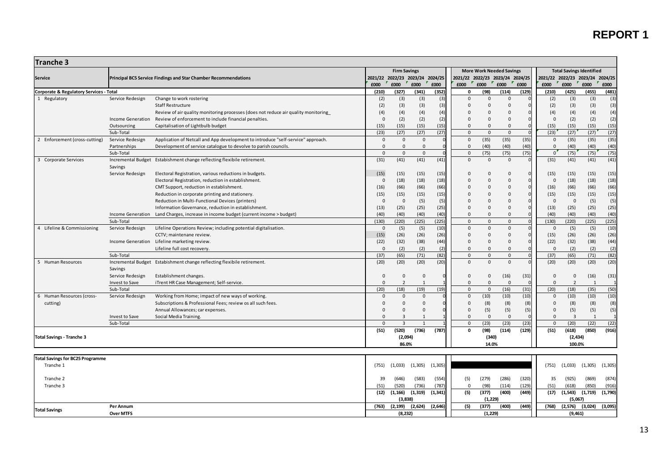| Tranche 3                                          |                             |                                                                                    |                     |                                 |              |          |                         |                                 |                                                                    |       |                                 |                     |                |          |
|----------------------------------------------------|-----------------------------|------------------------------------------------------------------------------------|---------------------|---------------------------------|--------------|----------|-------------------------|---------------------------------|--------------------------------------------------------------------|-------|---------------------------------|---------------------|----------------|----------|
|                                                    |                             | <b>Firm Savings</b>                                                                |                     |                                 |              |          |                         |                                 | <b>Total Savings Identified</b><br><b>More Work Needed Savings</b> |       |                                 |                     |                |          |
| <b>Service</b>                                     |                             | <b>Principal BC5 Service Findings and Star Chamber Recommendations</b>             |                     | 2021/22 2022/23 2023/24 2024/25 |              |          |                         | 2021/22 2022/23 2023/24 2024/25 |                                                                    |       | 2021/22 2022/23 2023/24 2024/25 |                     |                |          |
|                                                    |                             |                                                                                    | £000                | £000                            | £000         | £000     | £000                    | ×<br>£000                       | £000                                                               | £000  | £000                            | £000                | £000           | £000     |
| <b>Corporate &amp; Regulatory Services - Total</b> |                             |                                                                                    | (210)               | (327)                           | (341)        | (352)    | 0                       | (98)                            | (114)                                                              | (129) | (210)                           | (425)               | (455)          | (481)    |
| 1 Regulatory                                       | Service Redesign            | Change to work rostering                                                           | (2)                 | (3)                             | (3)          | (3)      | $\Omega$                | $\mathbf 0$                     | $\mathbf 0$                                                        |       | (2)                             | (3)                 | (3)            | (3)      |
|                                                    |                             | <b>Staff Restructure</b>                                                           | (2)                 | (3)                             | (3)          | (3)      | $\Omega$                | $\mathbf 0$                     | $\mathbf 0$                                                        |       | (2)                             | (3)                 | (3)            | (3)      |
|                                                    |                             | Review of air quality monitoring processes (does not reduce air quality monitoring | (4)                 | (4)                             | (4)          | (4)      | $\Omega$                | $\Omega$                        | $\mathbf 0$                                                        |       | (4)                             | (4)                 | (4)            | (4)      |
|                                                    | <b>Income Generation</b>    | Review of enforcement to include financial penalties.                              | $\Omega$            | (2)                             | (2)          | (2)      | $\Omega$                | $\mathbf{0}$                    | $\Omega$                                                           |       | $\overline{0}$                  | (2)                 | (2)            | (2)      |
|                                                    | Outsourcing                 | Capitalisation of Lightbulb budget                                                 | (15)                | (15)                            | (15)         | (15)     | $\Omega$                | $\mathsf 0$                     | $\mathbf 0$                                                        |       | (15)                            | (15)                | (15)           | (15)     |
|                                                    | Sub-Total                   |                                                                                    | (23)                | (27)                            | (27)         | (27)     | $\Omega$                | $\mathbf{0}$                    | $\Omega$                                                           |       | (23)                            | (27)                | (27)           | (27)     |
| 2 Enforcement (cross-cutting)                      | Service Redesign            | Application of Netcall and App development to introduce "self-service" approach.   | $\mathbf 0$         | $\mathbf 0$                     | $\mathsf 0$  |          | $\Omega$                | (35)                            | (35)                                                               | (35)  | $\overline{0}$                  | (35)                | (35)           | (35)     |
|                                                    | Partnerships                | Development of service catalogue to devolve to parish councils.                    | $\mathsf 0$         | $\mathbf 0$                     | $\mathsf 0$  |          | $\mathbf 0$             | (40)                            | (40)                                                               | (40)  | $\mathbf 0$                     | (40)                | (40)           | (40)     |
|                                                    | Sub-Total                   |                                                                                    | $\mathbf{0}$        | $\mathbf{0}$<br>(41)            | $\mathbf 0$  |          | $\mathbf 0$<br>$\Omega$ | (75)<br>$\mathbf{0}$            | (75)<br>$\mathbf{0}$                                               | (75)  | $\mathfrak{o}$                  | (75)                | (75)           | (75)     |
| 3 Corporate Services                               | <b>Incremental Budget</b>   | Estabishment change reflecting flexibile retirement.                               | (31)                |                                 | (41)         | (41)     |                         |                                 |                                                                    |       | (31)                            | (41)                | (41)           | (41)     |
|                                                    | Savings<br>Service Redesign | Electoral Registration, various reductions in budgets.                             |                     |                                 |              | (15)     | $\Omega$                | $\mathbf 0$                     | $\Omega$                                                           |       |                                 |                     |                | (15)     |
|                                                    |                             | Electoral Registration, reduction in establishment.                                | (15)<br>$\mathsf 0$ | (15)<br>(18)                    | (15)<br>(18) | (18)     | $\Omega$                | $\mathbf 0$                     | $\Omega$                                                           |       | (15)<br>$\overline{0}$          | (15)<br>(18)        | (15)<br>(18)   | (18)     |
|                                                    |                             | CMT Support, reduction in establishment.                                           | (16)                | (66)                            | (66)         | (66)     | $\Omega$                | $\mathbf 0$                     | $\mathbf 0$                                                        |       | (16)                            | (66)                | (66)           | (66)     |
|                                                    |                             | Reduction in corporate printing and stationery.                                    | (15)                | (15)                            | (15)         | (15)     | $\Omega$                | $\mathbf 0$                     | $\Omega$                                                           |       | (15)                            | (15)                | (15)           | (15)     |
|                                                    |                             | Reduction in Multi-Functional Devices (printers)                                   | $\overline{0}$      | $\mathbf 0$                     | (5)          | (5)      | $\Omega$                | $\mathbf 0$                     | $\mathbf 0$                                                        |       | $\overline{0}$                  | $\mathsf 0$         | (5)            | (5)      |
|                                                    |                             | Information Governance, reduction in establishment.                                | (13)                | (25)                            | (25)         | (25)     | $\Omega$                | $\mathbf 0$                     | $\mathbf 0$                                                        |       | (13)                            | (25)                | (25)           | (25)     |
|                                                    | <b>Income Generation</b>    | Land Charges, increase in income budget (current income > budget)                  | (40)                | (40)                            | (40)         | (40)     | $\Omega$                | $\mathbf{0}$                    | $\Omega$                                                           |       | (40)                            | (40)                | (40)           | (40)     |
|                                                    | Sub-Total                   |                                                                                    | (130)               | (220)                           | (225)        | (225)    | $\Omega$                | $\mathbf 0$                     | $\Omega$                                                           |       | (130)                           | (220)               | (225)          | (225)    |
| 4 Lifeline & Commissioning                         | Service Redesign            | Lifeline Operations Review; including potential digitalisation.                    | $\Omega$            | (5)                             | (5)          | (10)     | $\Omega$                | $\mathbf{0}$                    | $\Omega$                                                           |       | $\overline{0}$                  | (5)                 | (5)            | (10)     |
|                                                    |                             | CCTV; maintenane review.                                                           | (15)                | (26)                            | (26)         | (26)     | $\Omega$                | $\mathbf 0$                     | $\mathbf 0$                                                        |       | (15)                            | (26)                | (26)           | (26)     |
|                                                    |                             | Income Generation Lifeline marketing review.                                       | (22)                | (32)                            | (38)         | (44)     | $\Omega$                | $\mathbf 0$                     | $\mathbf 0$                                                        |       | (22)                            | (32)                | (38)           | (44)     |
|                                                    |                             | Lifeline full cost recovery.                                                       | $\Omega$            | (2)                             | (2)          | (2)      | $\Omega$                | $\mathbf 0$                     | $\mathsf{O}$                                                       |       | $\mathbf 0$                     | (2)                 | (2)            | (2)      |
|                                                    | Sub-Total                   |                                                                                    | (37)                | (65)                            | (71)         | (82)     | $\Omega$                | $\mathbf 0$                     | $\Omega$                                                           |       | (37)                            | (65)                | (71)           | (82)     |
| 5 Human Resources                                  |                             | Incremental Budget Estabishment change reflecting flexibile retirement.            | (20)                | (20)                            | (20)         | (20)     | $\Omega$                | $\mathbf 0$                     | $\Omega$                                                           |       | (20)                            | (20)                | (20)           | (20)     |
|                                                    | Savings                     |                                                                                    |                     |                                 |              |          |                         |                                 |                                                                    |       |                                 |                     |                |          |
|                                                    | Service Redesign            | Establishment changes.                                                             | $\Omega$            | $\mathbf 0$                     | $\mathbf{0}$ |          | 0                       | $\mathbf 0$                     | (16)                                                               | (31)  | $\overline{0}$                  | $\mathbf 0$         | (16)           | (31)     |
|                                                    | Invest to Save              | iTrent HR Case Management; Self-service.                                           | $\Omega$            | $\overline{2}$                  | $\mathbf{1}$ |          | $\Omega$                | $\mathbf{0}$                    | $\overline{0}$                                                     |       | $\mathbf 0$                     | $\overline{2}$      | -1             |          |
|                                                    | Sub-Total                   |                                                                                    | (20)                | (18)                            | (19)         | (19)     | $\mathbf{0}$            | $\mathsf 0$                     | (16)                                                               | (31)  | (20)                            | (18)                | (35)           | (50)     |
| 6 Human Resources (cross-                          | Service Redesign            | Working from Home; impact of new ways of working.                                  | $\Omega$            | $\Omega$                        | $\Omega$     |          | $\Omega$                | (10)                            | (10)                                                               | (10)  | $\Omega$                        | (10)                | (10)           | (10)     |
| cutting)                                           |                             | Subscriptions & Professional Fees; review os all such fees.                        | $\Omega$            | $\Omega$                        | $\Omega$     |          | $\Omega$                | (8)                             | (8)                                                                | (8)   | $\mathsf 0$                     | (8)                 | (8)            | (8)      |
|                                                    |                             | Annual Allowances; car expenses.                                                   | $\mathbf 0$         | 0                               | $\mathsf 0$  |          | 0                       | (5)                             | (5)                                                                | (5)   | $\mathsf 0$                     | (5)                 | (5)            | (5)      |
|                                                    | Invest to Save              | Social Media Training.                                                             | $\Omega$            | $\overline{3}$                  | $\mathbf{1}$ |          | $\Omega$                | $\mathbf{0}$                    | $\overline{0}$                                                     |       | $\mathbf{0}$                    | $\overline{3}$      | $\overline{1}$ |          |
|                                                    | Sub-Total                   |                                                                                    | $\Omega$            | $\overline{3}$                  | $\mathbf{1}$ |          | $\mathbf{0}$            | (23)                            | (23)                                                               | (23)  | $\overline{0}$                  | (20)                | (22)           | (22)     |
|                                                    |                             |                                                                                    | (51)                | (520)                           | (736)        | (787)    | 0                       | (98)                            | (114)                                                              | (129) | (51)                            | (618)               | (850)          | (916)    |
| <b>Total Savings - Tranche 3</b>                   |                             |                                                                                    |                     | (2,094)                         |              |          |                         | (340)                           |                                                                    |       |                                 | (2, 434)            |                |          |
|                                                    |                             |                                                                                    |                     | 86.0%                           |              |          |                         | 14.0%                           |                                                                    |       |                                 | 100.0%              |                |          |
|                                                    |                             |                                                                                    |                     |                                 |              |          |                         |                                 |                                                                    |       |                                 |                     |                |          |
| <b>Total Savings for BC25 Programme</b>            |                             |                                                                                    |                     |                                 |              |          |                         |                                 |                                                                    |       |                                 |                     |                |          |
| Tranche 1                                          |                             |                                                                                    | (751)               | (1,033)                         | (1, 305)     | (1, 305) |                         |                                 |                                                                    |       | (751)                           | (1,033)             | (1, 305)       | (1, 305) |
|                                                    |                             |                                                                                    |                     |                                 |              |          |                         |                                 |                                                                    |       |                                 |                     |                |          |
| Tranche 2                                          |                             |                                                                                    | 39                  | (646)                           | (583)        | (554)    | (5)                     | (279)                           | (286)                                                              | (320) | 35                              | (925)               | (869)          | (874)    |
| Tranche 3                                          |                             |                                                                                    | (51)                | (520)                           | (736)        | (787)    | $\mathbf 0$             | (98)                            | (114)                                                              | (129) | (51)                            | (618)               | (850)          | (916)    |
|                                                    |                             |                                                                                    | (12)                | (1, 166)                        | (1, 319)     | (1, 341) | (5)                     | (377)                           | (400)                                                              | (449) | (17)                            | $(1,543)$ $(1,719)$ |                | (1,790)  |
|                                                    |                             |                                                                                    |                     | (3,838)                         |              |          |                         | (1, 229)                        |                                                                    |       |                                 | (5,067)             |                |          |
| <b>Total Savings</b>                               | Per Annum                   |                                                                                    | (763)               | (2, 199)                        | (2,624)      | (2,646)  | (5)                     | (377)                           | (400)                                                              | (449) | (768)                           | (2,576)             | (3,024)        | (3,095)  |
|                                                    | <b>Over MTFS</b>            |                                                                                    |                     | (8.232)                         |              |          |                         | (1, 229)                        |                                                                    |       |                                 | (9.461)             |                |          |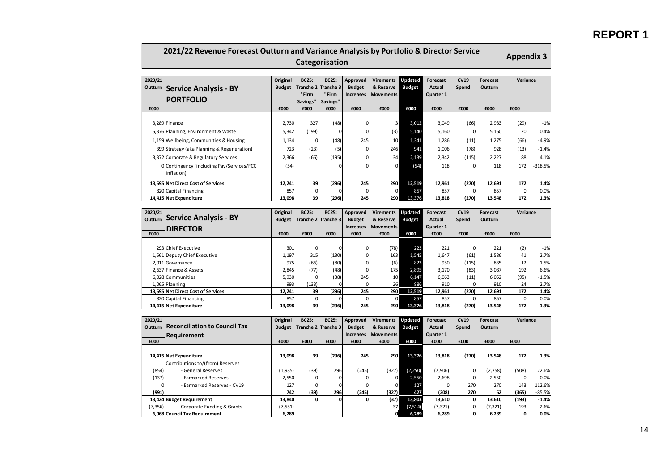| 2021/22 Revenue Forecast Outturn and Variance Analysis by Portfolio & Director Service<br>Categorisation |                                                            |                                   |                                                       |                                                       |                                                       |                                                           |                                  |                                                       |                              |                                    |                    |                 |
|----------------------------------------------------------------------------------------------------------|------------------------------------------------------------|-----------------------------------|-------------------------------------------------------|-------------------------------------------------------|-------------------------------------------------------|-----------------------------------------------------------|----------------------------------|-------------------------------------------------------|------------------------------|------------------------------------|--------------------|-----------------|
| 2020/21<br>Outturn<br>£000                                                                               | <b>Service Analysis - BY</b><br><b>PORTFOLIO</b>           | Original<br><b>Budget</b><br>£000 | <b>BC25:</b><br>ranche 2<br>"Firm<br>Savings"<br>£000 | <b>BC25:</b><br>ranche 3<br>"Firm<br>Savings"<br>£000 | Approved<br><b>Budget</b><br><b>Increases</b><br>£000 | <b>Virements</b><br>& Reserve<br><b>Movements</b><br>£000 | Updated<br><b>Budget</b><br>£000 | <b>Forecast</b><br><b>Actual</b><br>Quarter 1<br>£000 | <b>CV19</b><br>Spend<br>£000 | <b>Forecast</b><br>Outturn<br>£000 | Variance<br>£000   |                 |
|                                                                                                          |                                                            |                                   |                                                       |                                                       |                                                       |                                                           |                                  |                                                       |                              |                                    |                    |                 |
|                                                                                                          | 3,289 Finance                                              | 2,730                             | 327                                                   | (48)                                                  | $\mathbf 0$                                           | 3                                                         | 3,012                            | 3,049                                                 | (66)                         | 2,983                              | (29)               | $-1%$           |
|                                                                                                          | 5,376 Planning, Environment & Waste                        | 5,342                             | (199)                                                 | $\mathbf 0$                                           | $\mathbf 0$                                           | (3)                                                       | 5,140                            | 5,160                                                 | $\mathbf 0$                  | 5,160                              | 20                 | 0.4%            |
|                                                                                                          | 1,159 Wellbeing, Communities & Housing                     | 1,134                             | 0                                                     | (48)                                                  | 245                                                   | 10                                                        | 1,341                            | 1,286                                                 | (11)                         | 1,275                              | (66)               | $-4.9%$         |
|                                                                                                          | 399 Strategy (aka Planning & Regeneration)                 | 723                               | (23)                                                  | (5)                                                   | $\mathbf 0$                                           | 246                                                       | 941                              | 1,006                                                 | (78)                         | 928                                | (13)               | $-1.4%$         |
|                                                                                                          | 3,372 Corporate & Regulatory Services                      | 2,366                             | (66)                                                  | (195)                                                 | 0                                                     | 34                                                        | 2,139                            | 2,342                                                 | (115)                        | 2,227                              | 88                 | 4.1%            |
|                                                                                                          |                                                            | (54)                              |                                                       |                                                       | 0                                                     | $\mathbf{0}$                                              | (54)                             | 118                                                   | $\Omega$                     | 118                                | 172                | $-318.5%$       |
|                                                                                                          | O Contingency (including Pay/Services/FCC<br>Inflation)    |                                   |                                                       |                                                       |                                                       |                                                           |                                  |                                                       |                              |                                    |                    |                 |
|                                                                                                          |                                                            |                                   |                                                       |                                                       |                                                       |                                                           |                                  |                                                       |                              |                                    |                    |                 |
|                                                                                                          | 13,595 Net Direct Cost of Services                         | 12,241                            | 39<br>$\mathbf{0}$                                    | (296)<br>C                                            | 245<br>$\mathbf 0$                                    | 290<br>$\Omega$                                           | 12.519                           | 12,961                                                | (270)<br>$\Omega$            | 12,691                             | 172<br>$\mathbf 0$ | 1.4%            |
|                                                                                                          | 820 Capital Financing<br>14,415 Net Expenditure            | 857<br>13,098                     | 39                                                    | (296)                                                 | 245                                                   | <b>290</b>                                                | 857<br>13.376                    | 857<br>13,818                                         | (270)                        | 857<br>13,548                      | 172                | 0.0%<br>1.3%    |
|                                                                                                          |                                                            |                                   |                                                       |                                                       |                                                       |                                                           |                                  |                                                       |                              |                                    |                    |                 |
| 2020/21<br>Outturn                                                                                       | <b>Service Analysis - BY</b><br><b>DIRECTOR</b>            | Original<br><b>Budget</b>         | <b>BC25:</b><br>Tranche 2                             | <b>BC25:</b><br>Tranche 3                             | <b>Approved</b><br><b>Budget</b><br><b>Increases</b>  | <b>Virements</b><br>& Reserve<br><b>Movements</b>         | Updated<br><b>Budget</b>         | <b>Forecast</b><br><b>Actual</b><br>Quarter 1         | <b>CV19</b><br>Spend         | <b>Forecast</b><br>Outturn         | Variance           |                 |
| £000                                                                                                     |                                                            | £000                              | £000                                                  | £000                                                  | £000                                                  | £000                                                      | £000                             | £000                                                  | £000                         | £000                               | £000               |                 |
|                                                                                                          |                                                            |                                   |                                                       |                                                       |                                                       |                                                           |                                  |                                                       |                              |                                    |                    |                 |
|                                                                                                          | 293 Chief Executive                                        | 301                               | $\mathbf 0$                                           | $\Omega$                                              | 0                                                     | (78)                                                      | 223                              | 221                                                   | $\Omega$                     | 221                                | (2)                | $-1%$           |
|                                                                                                          | 1,561 Deputy Chief Executive                               | 1,197                             | 315                                                   | (130)                                                 | 0                                                     | 163                                                       | 1,545                            | 1,647                                                 | (61)                         | 1,586                              | 41                 | 2.7%            |
|                                                                                                          | 2,011 Governance                                           | 975                               | (66)                                                  | (80)                                                  | 0<br>$\mathbf 0$                                      | (6)                                                       | 823                              | 950                                                   | (115)                        | 835                                | 12                 | 1.5%            |
|                                                                                                          | 2,637 Finance & Assets<br>6,028 Communities                | 2,845<br>5,930                    | (77)<br>$\Omega$                                      | (48)<br>(38)                                          | 245                                                   | 175<br>10                                                 | 2,895<br>6,147                   | 3,170<br>6,063                                        | (83)<br>(11)                 | 3,087<br>6,052                     | 192<br>(95)        | 6.6%<br>$-1.5%$ |
|                                                                                                          | 1,065 Planning                                             | 993                               | (133)                                                 |                                                       | $\mathbf 0$                                           | 26                                                        | 886                              | 910                                                   |                              | 910                                | 24                 | 2.7%            |
|                                                                                                          | 13,595 Net Direct Cost of Services                         | 12,241                            | 39                                                    | (296)                                                 | 245                                                   | 290                                                       | 12,519                           | 12,961                                                | (270)                        | 12,691                             | 172                | 1.4%            |
|                                                                                                          | 820 Capital Financing                                      | 857                               | $\mathbf{0}$                                          |                                                       | $\mathbf 0$                                           | $\Omega$                                                  | 857                              | 857                                                   |                              | 857                                | $\Omega$           | 0.0%            |
|                                                                                                          | 14,415 Net Expenditure                                     | 13,098                            | 39                                                    | (296)                                                 | 245                                                   | 290                                                       | 13.376                           | 13,818                                                | (270)                        | 13,548                             | 172                | 1.3%            |
|                                                                                                          |                                                            |                                   |                                                       |                                                       |                                                       |                                                           |                                  |                                                       |                              |                                    |                    |                 |
| 2020/21                                                                                                  |                                                            | Original                          | <b>BC25:</b>                                          | <b>BC25:</b>                                          | Approved                                              | <b>Virements</b>                                          | Updated                          | <b>Forecast</b>                                       | <b>CV19</b>                  | <b>Forecast</b>                    | Variance           |                 |
| Outturn                                                                                                  | <b>Reconciliation to Council Tax</b>                       | <b>Budget</b>                     | Tranche 2                                             | Tranche 3                                             | <b>Budget</b>                                         | & Reserve                                                 | <b>Budget</b>                    | <b>Actual</b>                                         | Spend                        | Outturn                            |                    |                 |
| £000                                                                                                     | Requirement                                                | £000                              | £000                                                  | £000                                                  | <b>Increases</b><br>£000                              | <b>Movements</b><br>£000                                  | £000                             | Quarter 1<br>£000                                     |                              | £000                               | £000               |                 |
|                                                                                                          |                                                            |                                   |                                                       |                                                       |                                                       |                                                           |                                  |                                                       | £000                         |                                    |                    |                 |
|                                                                                                          | 14,415 Net Expenditure<br>Contributions to/(from) Reserves | 13,098                            | 39                                                    | (296)                                                 | 245                                                   | 290                                                       | 13,376                           | 13,818                                                | (270)                        | 13,548                             | 172                | 1.3%            |
| (854)                                                                                                    | - General Reserves                                         | (1, 935)                          | (39)                                                  | 296                                                   | (245)                                                 | (327)                                                     | (2, 250)                         | (2,906)                                               |                              | (2,758)                            | (508)              | 22.6%           |
| (137)                                                                                                    | - Earmarked Reserves                                       | 2,550                             | 0                                                     | $\mathbf 0$                                           | 0                                                     | $\overline{0}$                                            | 2,550                            | 2,698                                                 | 0                            | 2,550                              | $\Omega$           | 0.0%            |
|                                                                                                          | - Earmarked Reserves - CV19                                | 127                               | 0                                                     | $\mathbf 0$                                           | $\Omega$                                              | $\Omega$                                                  | 127                              | $\Omega$                                              | 270                          | 270                                | 143                | 112.6%          |
| (991)                                                                                                    |                                                            | 742                               | (39)                                                  | 296                                                   | (245)                                                 | (327)                                                     | 427                              | (208)                                                 | 270                          | 62                                 | (365)              | $-85.5%$        |
|                                                                                                          | 13,424 Budget Requirement                                  | 13,840                            | $\mathbf{0}$                                          | $\mathbf 0$                                           | 0                                                     | (37)                                                      | 13,803                           | 13,610                                                | O                            | 13,610                             | (193)              | $-1.4%$         |
| (7, 356)                                                                                                 | Corporate Funding & Grants                                 | (7, 551)                          |                                                       |                                                       |                                                       | 37                                                        | (7, 514)                         | (7, 321)                                              | $\mathbf 0$                  | (7, 321)                           | 193                | $-2.6%$         |
|                                                                                                          | 6,068 Council Tax Requirement                              | 6,289                             |                                                       |                                                       |                                                       | οl                                                        | 6,289                            | 6,289                                                 | o                            | 6,289                              | 0                  | 0.0%            |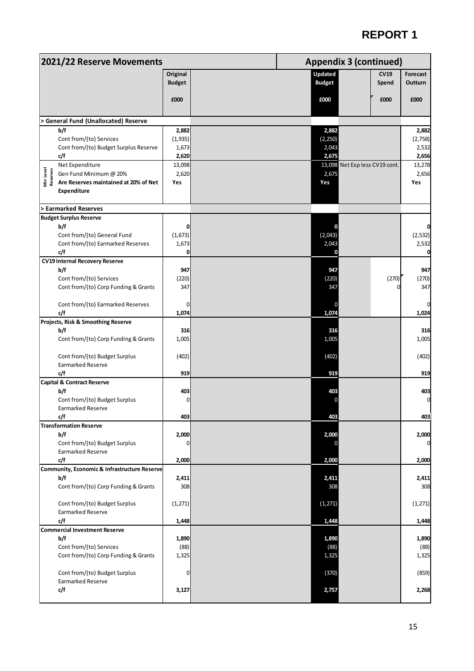# **REPORT 1**

|                       | 2021/22 Reserve Movements                                       |                           | <b>Appendix 3 (continued)</b>                           |                     |
|-----------------------|-----------------------------------------------------------------|---------------------------|---------------------------------------------------------|---------------------|
|                       |                                                                 | Original<br><b>Budget</b> | <b>Updated</b><br><b>CV19</b><br><b>Budget</b><br>Spend | Forecast<br>Outturn |
|                       |                                                                 | £000                      | £000<br>£000                                            | £000                |
|                       | > General Fund (Unallocated) Reserve                            |                           |                                                         |                     |
|                       | b/f                                                             | 2,882                     | 2,882                                                   | 2,882               |
|                       | Cont from/(to) Services                                         | (1,935)                   | (2, 250)                                                | (2,758)             |
|                       | Cont from/(to) Budget Surplus Reserve                           | 1,673                     | 2,043                                                   | 2,532               |
|                       | c/f<br>Net Expenditure                                          | 2,620<br>13,098           | 2,675<br>13,098 Net Exp less CV19 cont.                 | 2,656<br>13,278     |
|                       | Gen Fund Minimum @ 20%                                          | 2,620                     | 2,675                                                   | 2,656               |
| Min Level<br>Reserves | Are Reserves maintained at 20% of Net<br><b>Expenditure</b>     | Yes                       | Yes                                                     | Yes                 |
|                       | > Earmarked Reserves                                            |                           |                                                         |                     |
|                       | <b>Budget Surplus Reserve</b>                                   |                           |                                                         |                     |
|                       | b/f                                                             | O                         |                                                         |                     |
|                       | Cont from/(to) General Fund                                     | (1,673)                   | (2,043)                                                 | (2, 532)            |
|                       | Cont from/(to) Earmarked Reserves<br>c/f                        | 1,673<br>0                | 2,043<br>0                                              | 2,532<br>0          |
|                       | <b>CV19 Internal Recovery Reserve</b>                           |                           |                                                         |                     |
|                       | b/f                                                             | 947                       | 947                                                     | 947                 |
|                       | Cont from/(to) Services                                         | (220)                     | (220)<br>(270)                                          | (270)               |
|                       | Cont from/(to) Corp Funding & Grants                            | 347                       | 347                                                     | 347                 |
|                       | Cont from/(to) Earmarked Reserves                               | 0                         |                                                         |                     |
|                       | c/f                                                             | 1,074                     | 1,074                                                   | 1,024               |
|                       | Projects, Risk & Smoothing Reserve                              |                           |                                                         |                     |
|                       | b/f                                                             | 316                       | 316                                                     | 316                 |
|                       | Cont from/(to) Corp Funding & Grants                            | 1,005                     | 1,005                                                   | 1,005               |
|                       | Cont from/(to) Budget Surplus                                   | (402)                     | (402)                                                   | (402)               |
|                       | <b>Earmarked Reserve</b>                                        |                           |                                                         |                     |
|                       | c/f                                                             | 919                       | 919                                                     | 919                 |
|                       | <b>Capital &amp; Contract Reserve</b><br>b/f                    | 403                       | 403                                                     | 403                 |
|                       | Cont from/(to) Budget Surplus                                   | 0                         |                                                         | 0                   |
|                       | Earmarked Reserve                                               |                           |                                                         |                     |
|                       | c/f                                                             | 403                       | 403                                                     | 403                 |
|                       | <b>Transformation Reserve</b>                                   |                           |                                                         |                     |
|                       | b/f                                                             | 2,000                     | 2,000                                                   | 2,000               |
|                       | Cont from/(to) Budget Surplus<br><b>Earmarked Reserve</b>       | 0                         |                                                         | 0                   |
|                       | c/f                                                             | 2,000                     | 2,000                                                   | 2,000               |
|                       | <b>Community, Economic &amp; Infrastructure Reserve</b>         |                           |                                                         |                     |
|                       | b/f                                                             | 2,411                     | 2,411                                                   | 2,411               |
|                       | Cont from/(to) Corp Funding & Grants                            | 308                       | 308                                                     | 308                 |
|                       | Cont from/(to) Budget Surplus                                   | (1, 271)                  | (1, 271)                                                | (1, 271)            |
|                       | <b>Earmarked Reserve</b>                                        |                           |                                                         |                     |
|                       | c/f                                                             | 1,448                     | 1,448                                                   | 1,448               |
|                       | <b>Commercial Investment Reserve</b>                            |                           |                                                         |                     |
|                       | b/f                                                             | 1,890                     | 1,890                                                   | 1,890               |
|                       | Cont from/(to) Services<br>Cont from/(to) Corp Funding & Grants | (88)<br>1,325             | (88)<br>1,325                                           | (88)<br>1,325       |
|                       |                                                                 |                           |                                                         |                     |
|                       | Cont from/(to) Budget Surplus                                   | 0                         | (370)                                                   | (859)               |
|                       | Earmarked Reserve                                               |                           |                                                         |                     |
|                       | c/f                                                             | 3,127                     | 2,757                                                   | 2,268               |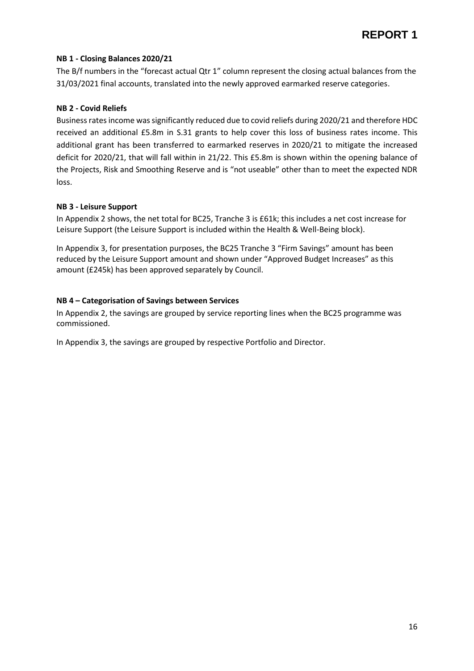#### **NB 1 - Closing Balances 2020/21**

The B/f numbers in the "forecast actual Qtr 1" column represent the closing actual balances from the 31/03/2021 final accounts, translated into the newly approved earmarked reserve categories.

#### **NB 2 - Covid Reliefs**

Business rates income was significantly reduced due to covid reliefs during 2020/21 and therefore HDC received an additional £5.8m in S.31 grants to help cover this loss of business rates income. This additional grant has been transferred to earmarked reserves in 2020/21 to mitigate the increased deficit for 2020/21, that will fall within in 21/22. This £5.8m is shown within the opening balance of the Projects, Risk and Smoothing Reserve and is "not useable" other than to meet the expected NDR loss.

#### **NB 3 - Leisure Support**

In Appendix 2 shows, the net total for BC25, Tranche 3 is £61k; this includes a net cost increase for Leisure Support (the Leisure Support is included within the Health & Well-Being block).

In Appendix 3, for presentation purposes, the BC25 Tranche 3 "Firm Savings" amount has been reduced by the Leisure Support amount and shown under "Approved Budget Increases" as this amount (£245k) has been approved separately by Council.

#### **NB 4 – Categorisation of Savings between Services**

In Appendix 2, the savings are grouped by service reporting lines when the BC25 programme was commissioned.

In Appendix 3, the savings are grouped by respective Portfolio and Director.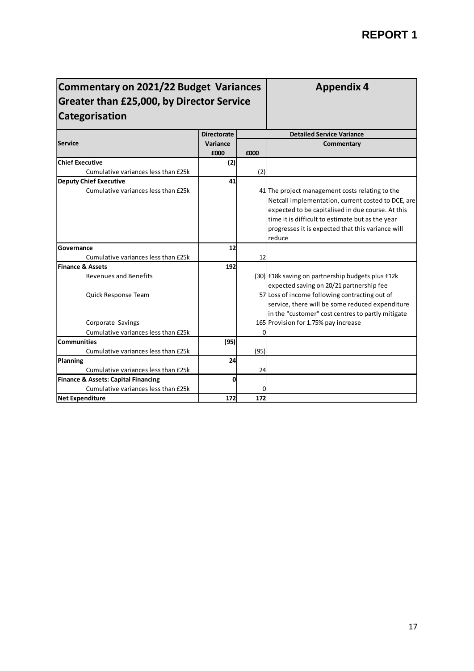**Appendix 4**

# **Commentary on 2021/22 Budget Variances Greater than £25,000, by Director Service Categorisation**

|                                                | <b>Directorate</b> |      | <b>Detailed Service Variance</b>                   |
|------------------------------------------------|--------------------|------|----------------------------------------------------|
| <b>Service</b>                                 | Variance           |      | <b>Commentary</b>                                  |
|                                                | £000               | £000 |                                                    |
| <b>Chief Executive</b>                         | (2)                |      |                                                    |
| Cumulative variances less than £25k            |                    | (2)  |                                                    |
| <b>Deputy Chief Executive</b>                  | 41                 |      |                                                    |
| Cumulative variances less than £25k            |                    |      | 41 The project management costs relating to the    |
|                                                |                    |      | Netcall implementation, current costed to DCE, are |
|                                                |                    |      | expected to be capitalised in due course. At this  |
|                                                |                    |      | time it is difficult to estimate but as the year   |
|                                                |                    |      | progresses it is expected that this variance will  |
|                                                |                    |      | reduce                                             |
| Governance                                     | 12                 |      |                                                    |
| Cumulative variances less than £25k            |                    | 12   |                                                    |
| <b>Finance &amp; Assets</b>                    | 192                |      |                                                    |
| <b>Revenues and Benefits</b>                   |                    |      | (30) E18k saving on partnership budgets plus E12k  |
|                                                |                    |      | expected saving on 20/21 partnership fee           |
| Quick Response Team                            |                    |      | 57 Loss of income following contracting out of     |
|                                                |                    |      | service, there will be some reduced expenditure    |
|                                                |                    |      | in the "customer" cost centres to partly mitigate  |
| Corporate Savings                              |                    |      | 165 Provision for 1.75% pay increase               |
| Cumulative variances less than £25k            |                    | O    |                                                    |
| <b>Communities</b>                             | (95)               |      |                                                    |
| Cumulative variances less than £25k            |                    | (95) |                                                    |
| Planning                                       | 24                 |      |                                                    |
| Cumulative variances less than £25k            |                    | 24   |                                                    |
| <b>Finance &amp; Assets: Capital Financing</b> | 0                  |      |                                                    |
| Cumulative variances less than £25k            |                    | 0    |                                                    |
| <b>Net Expenditure</b>                         | 172                | 172  |                                                    |